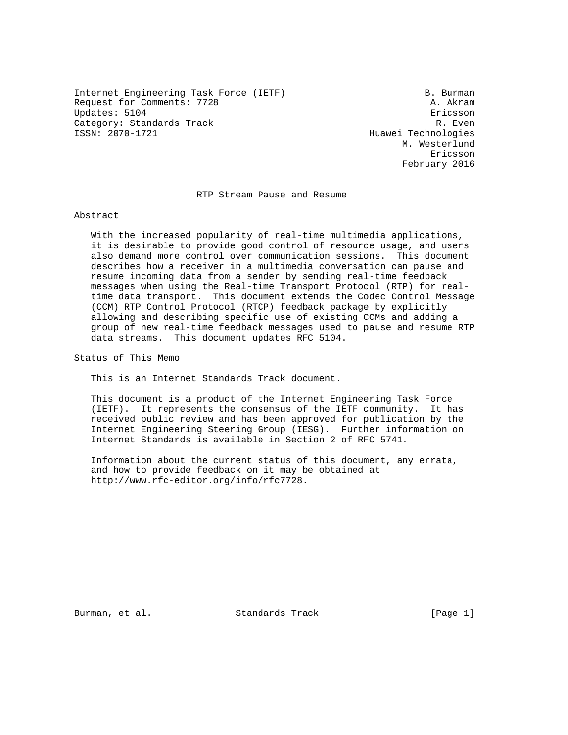Internet Engineering Task Force (IETF) B. Burman Request for Comments: 7728 A. Akram Updates: 5104 Ericsson Category: Standards Track R. Even<br>ISSN: 2070-1721 Huawei Technologies

Huawei Technologies M. Westerlund eric and the contract of the contract of the contract of the contract of the contract of the contract of the contract of the contract of the contract of the contract of the contract of the contract of the contract of the c February 2016

## RTP Stream Pause and Resume

#### Abstract

 With the increased popularity of real-time multimedia applications, it is desirable to provide good control of resource usage, and users also demand more control over communication sessions. This document describes how a receiver in a multimedia conversation can pause and resume incoming data from a sender by sending real-time feedback messages when using the Real-time Transport Protocol (RTP) for real time data transport. This document extends the Codec Control Message (CCM) RTP Control Protocol (RTCP) feedback package by explicitly allowing and describing specific use of existing CCMs and adding a group of new real-time feedback messages used to pause and resume RTP data streams. This document updates RFC 5104.

Status of This Memo

This is an Internet Standards Track document.

 This document is a product of the Internet Engineering Task Force (IETF). It represents the consensus of the IETF community. It has received public review and has been approved for publication by the Internet Engineering Steering Group (IESG). Further information on Internet Standards is available in Section 2 of RFC 5741.

 Information about the current status of this document, any errata, and how to provide feedback on it may be obtained at http://www.rfc-editor.org/info/rfc7728.

Burman, et al. Standards Track [Page 1]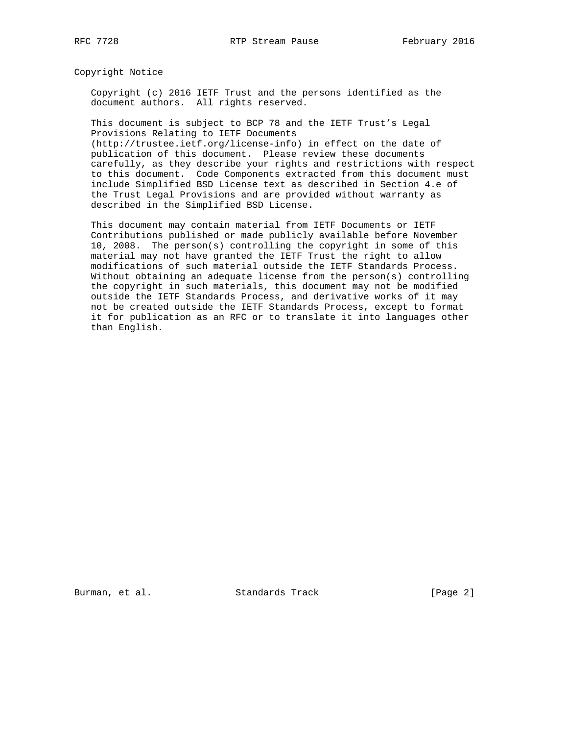Copyright Notice

 Copyright (c) 2016 IETF Trust and the persons identified as the document authors. All rights reserved.

 This document is subject to BCP 78 and the IETF Trust's Legal Provisions Relating to IETF Documents

 (http://trustee.ietf.org/license-info) in effect on the date of publication of this document. Please review these documents carefully, as they describe your rights and restrictions with respect to this document. Code Components extracted from this document must include Simplified BSD License text as described in Section 4.e of the Trust Legal Provisions and are provided without warranty as described in the Simplified BSD License.

 This document may contain material from IETF Documents or IETF Contributions published or made publicly available before November 10, 2008. The person(s) controlling the copyright in some of this material may not have granted the IETF Trust the right to allow modifications of such material outside the IETF Standards Process. Without obtaining an adequate license from the person(s) controlling the copyright in such materials, this document may not be modified outside the IETF Standards Process, and derivative works of it may not be created outside the IETF Standards Process, except to format it for publication as an RFC or to translate it into languages other than English.

Burman, et al. Standards Track [Page 2]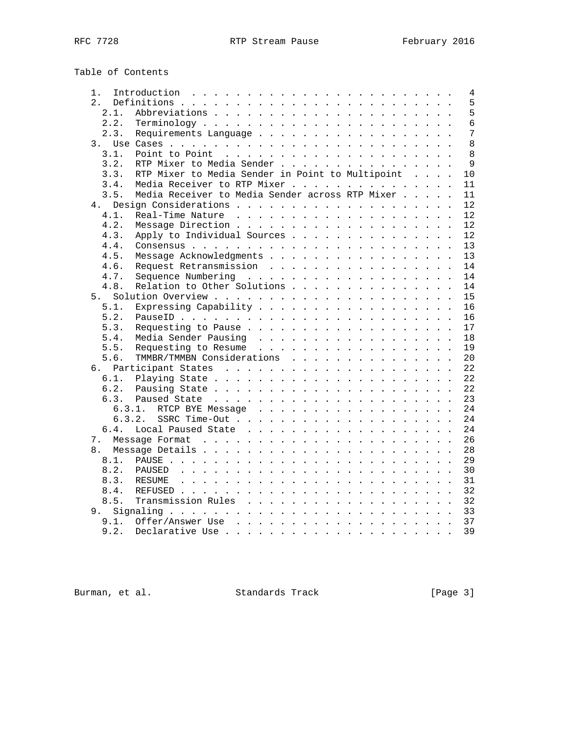# Table of Contents

| 1. |                | Introduction<br>4                                      |
|----|----------------|--------------------------------------------------------|
| 2. |                | 5                                                      |
|    | 2.1.           | 5                                                      |
|    | 2.2.           | 6                                                      |
|    | 2.3.           | 7<br>Requirements Language                             |
|    | 3 <sub>1</sub> | 8                                                      |
|    | 3.1.           | 8                                                      |
|    | 3.2.           | $\mathsf{Q}$<br>RTP Mixer to Media Sender              |
|    | 3.3.           | RTP Mixer to Media Sender in Point to Multipoint<br>10 |
|    | 3.4.           | Media Receiver to RTP Mixer<br>11                      |
|    | 3.5.           | Media Receiver to Media Sender across RTP Mixer<br>11  |
|    | 4.             | 12<br>Design Considerations                            |
|    | 4.1.           | Real-Time Nature<br>12                                 |
|    | 4.2.           | 12<br>Message Direction                                |
|    | 4.3.           | Apply to Individual Sources<br>12                      |
|    | 4.4.           | 13                                                     |
|    | 4.5.           | Message Acknowledgments<br>13                          |
|    | 4.6.           | Request Retransmission<br>14                           |
|    | 4.7.           | 14<br>Sequence Numbering                               |
|    | 4.8.           | Relation to Other Solutions<br>14                      |
|    | 5.             | 15                                                     |
|    | 5.1.           | Expressing Capability<br>16                            |
|    | 5.2.           | 16                                                     |
|    | 5.3.           | Requesting to Pause<br>17                              |
|    | 5.4.           | Media Sender Pausing<br>18                             |
|    | 5.5.           | Requesting to Resume<br>19                             |
|    | 5.6.           | TMMBR/TMMBN Considerations<br>20                       |
| б. |                | Participant States<br>22                               |
|    | 6.1.           | 22                                                     |
|    | 6.2.           | 22                                                     |
|    | 6.3.           | 23                                                     |
|    | 6.3.1.         | 24<br>RTCP BYE Message                                 |
|    | 6.3.2.         | 24                                                     |
|    | 6.4.           | Local Paused State<br>24                               |
|    | 7.             | 26                                                     |
|    | 8.             | 28                                                     |
|    | 8.1.           | 29                                                     |
|    | 8.2.           | 30<br>PAUSED                                           |
|    | 8.3.           | 31<br>RESUME                                           |
|    | 8.4.           | 32                                                     |
|    | 8.5.           | Transmission Rules<br>32                               |
|    | 9.             | 33<br>Signaling.                                       |
|    |                |                                                        |
|    | 9.1.           | 37                                                     |
|    | 9.2.           | 39<br>Declarative Use                                  |

Burman, et al. Standards Track [Page 3]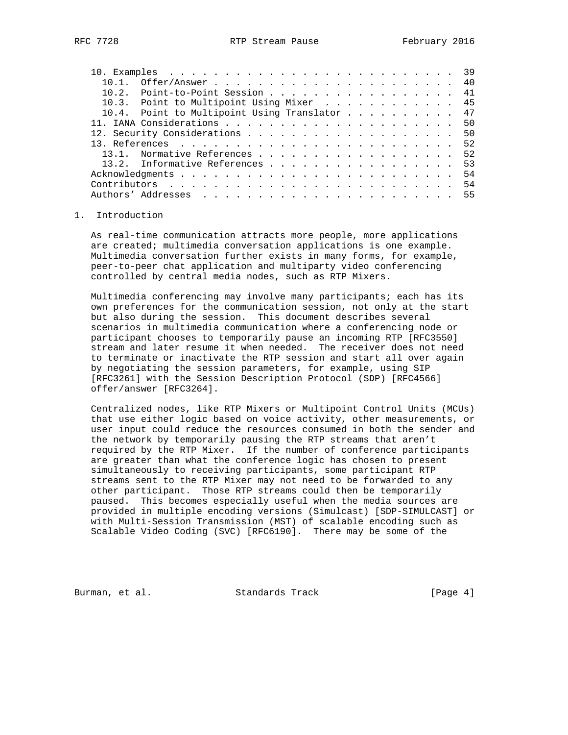| 10.2. Point-to-Point Session 41               |    |
|-----------------------------------------------|----|
| 10.3. Point to Multipoint Using Mixer 45      |    |
| 10.4. Point to Multipoint Using Translator 47 |    |
|                                               |    |
|                                               |    |
|                                               |    |
| 13.1. Normative References                    | 52 |
|                                               | 53 |
|                                               | 54 |
|                                               |    |
|                                               |    |

#### 1. Introduction

 As real-time communication attracts more people, more applications are created; multimedia conversation applications is one example. Multimedia conversation further exists in many forms, for example, peer-to-peer chat application and multiparty video conferencing controlled by central media nodes, such as RTP Mixers.

 Multimedia conferencing may involve many participants; each has its own preferences for the communication session, not only at the start but also during the session. This document describes several scenarios in multimedia communication where a conferencing node or participant chooses to temporarily pause an incoming RTP [RFC3550] stream and later resume it when needed. The receiver does not need to terminate or inactivate the RTP session and start all over again by negotiating the session parameters, for example, using SIP [RFC3261] with the Session Description Protocol (SDP) [RFC4566] offer/answer [RFC3264].

 Centralized nodes, like RTP Mixers or Multipoint Control Units (MCUs) that use either logic based on voice activity, other measurements, or user input could reduce the resources consumed in both the sender and the network by temporarily pausing the RTP streams that aren't required by the RTP Mixer. If the number of conference participants are greater than what the conference logic has chosen to present simultaneously to receiving participants, some participant RTP streams sent to the RTP Mixer may not need to be forwarded to any other participant. Those RTP streams could then be temporarily paused. This becomes especially useful when the media sources are provided in multiple encoding versions (Simulcast) [SDP-SIMULCAST] or with Multi-Session Transmission (MST) of scalable encoding such as Scalable Video Coding (SVC) [RFC6190]. There may be some of the

Burman, et al. Standards Track [Page 4]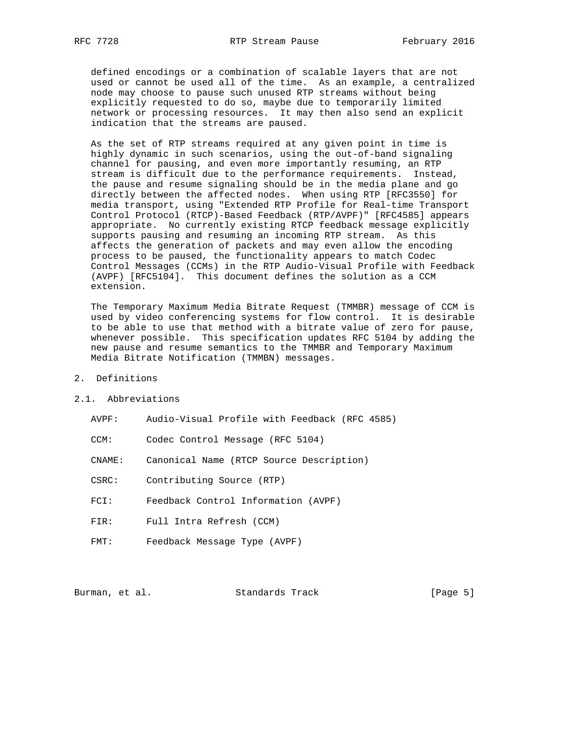defined encodings or a combination of scalable layers that are not used or cannot be used all of the time. As an example, a centralized node may choose to pause such unused RTP streams without being explicitly requested to do so, maybe due to temporarily limited network or processing resources. It may then also send an explicit indication that the streams are paused.

 As the set of RTP streams required at any given point in time is highly dynamic in such scenarios, using the out-of-band signaling channel for pausing, and even more importantly resuming, an RTP stream is difficult due to the performance requirements. Instead, the pause and resume signaling should be in the media plane and go directly between the affected nodes. When using RTP [RFC3550] for media transport, using "Extended RTP Profile for Real-time Transport Control Protocol (RTCP)-Based Feedback (RTP/AVPF)" [RFC4585] appears appropriate. No currently existing RTCP feedback message explicitly supports pausing and resuming an incoming RTP stream. As this affects the generation of packets and may even allow the encoding process to be paused, the functionality appears to match Codec Control Messages (CCMs) in the RTP Audio-Visual Profile with Feedback (AVPF) [RFC5104]. This document defines the solution as a CCM extension.

 The Temporary Maximum Media Bitrate Request (TMMBR) message of CCM is used by video conferencing systems for flow control. It is desirable to be able to use that method with a bitrate value of zero for pause, whenever possible. This specification updates RFC 5104 by adding the new pause and resume semantics to the TMMBR and Temporary Maximum Media Bitrate Notification (TMMBN) messages.

- 2. Definitions
- 2.1. Abbreviations
	- AVPF: Audio-Visual Profile with Feedback (RFC 4585)
	- CCM: Codec Control Message (RFC 5104)
	- CNAME: Canonical Name (RTCP Source Description)
	- CSRC: Contributing Source (RTP)
	- FCI: Feedback Control Information (AVPF)
	- FIR: Full Intra Refresh (CCM)
	- FMT: Feedback Message Type (AVPF)

Burman, et al. Standards Track [Page 5]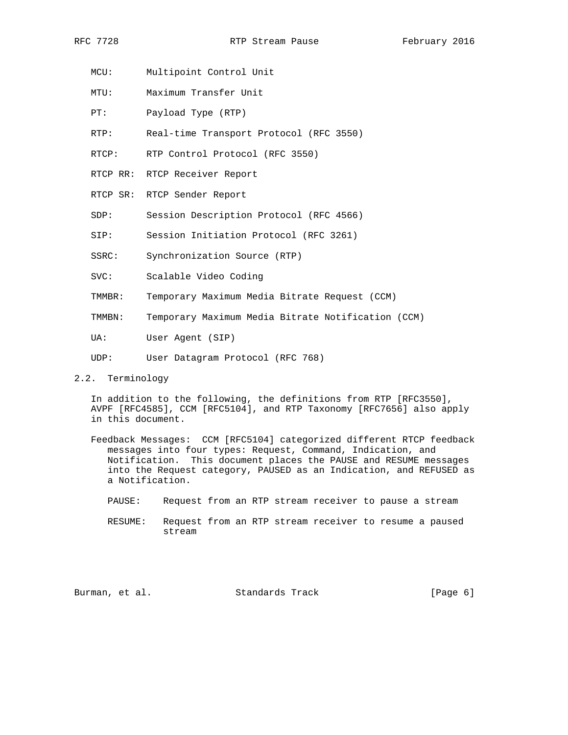- MCU: Multipoint Control Unit
- MTU: Maximum Transfer Unit
- PT: Payload Type (RTP)
- RTP: Real-time Transport Protocol (RFC 3550)
- RTCP: RTP Control Protocol (RFC 3550)
- RTCP RR: RTCP Receiver Report
- RTCP SR: RTCP Sender Report
- SDP: Session Description Protocol (RFC 4566)
- SIP: Session Initiation Protocol (RFC 3261)
- SSRC: Synchronization Source (RTP)
- SVC: Scalable Video Coding
- TMMBR: Temporary Maximum Media Bitrate Request (CCM)
- TMMBN: Temporary Maximum Media Bitrate Notification (CCM)
- UA: User Agent (SIP)
- UDP: User Datagram Protocol (RFC 768)
- 2.2. Terminology

 In addition to the following, the definitions from RTP [RFC3550], AVPF [RFC4585], CCM [RFC5104], and RTP Taxonomy [RFC7656] also apply in this document.

- Feedback Messages: CCM [RFC5104] categorized different RTCP feedback messages into four types: Request, Command, Indication, and Notification. This document places the PAUSE and RESUME messages into the Request category, PAUSED as an Indication, and REFUSED as a Notification.
	- PAUSE: Request from an RTP stream receiver to pause a stream
	- RESUME: Request from an RTP stream receiver to resume a paused stream

Burman, et al. Standards Track [Page 6]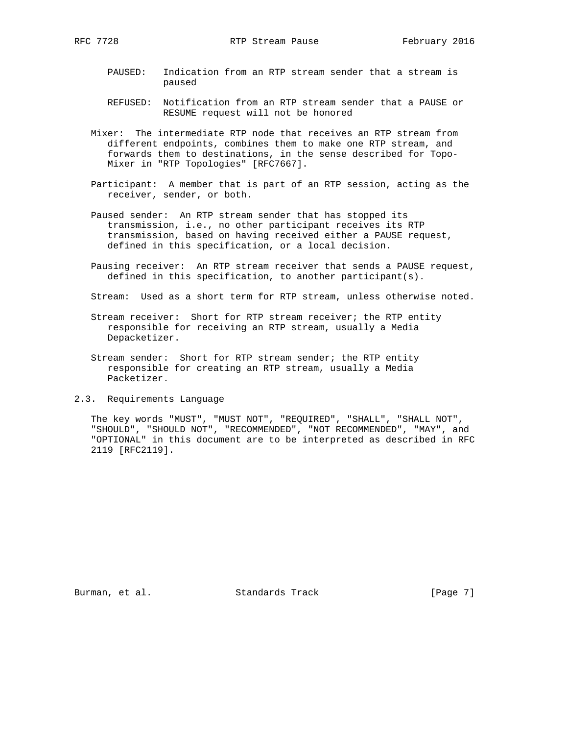- PAUSED: Indication from an RTP stream sender that a stream is paused
- REFUSED: Notification from an RTP stream sender that a PAUSE or RESUME request will not be honored
- Mixer: The intermediate RTP node that receives an RTP stream from different endpoints, combines them to make one RTP stream, and forwards them to destinations, in the sense described for Topo- Mixer in "RTP Topologies" [RFC7667].
- Participant: A member that is part of an RTP session, acting as the receiver, sender, or both.
- Paused sender: An RTP stream sender that has stopped its transmission, i.e., no other participant receives its RTP transmission, based on having received either a PAUSE request, defined in this specification, or a local decision.
- Pausing receiver: An RTP stream receiver that sends a PAUSE request, defined in this specification, to another participant(s).

Stream: Used as a short term for RTP stream, unless otherwise noted.

- Stream receiver: Short for RTP stream receiver; the RTP entity responsible for receiving an RTP stream, usually a Media Depacketizer.
- Stream sender: Short for RTP stream sender; the RTP entity responsible for creating an RTP stream, usually a Media Packetizer.
- 2.3. Requirements Language

 The key words "MUST", "MUST NOT", "REQUIRED", "SHALL", "SHALL NOT", "SHOULD", "SHOULD NOT", "RECOMMENDED", "NOT RECOMMENDED", "MAY", and "OPTIONAL" in this document are to be interpreted as described in RFC 2119 [RFC2119].

Burman, et al. Standards Track [Page 7]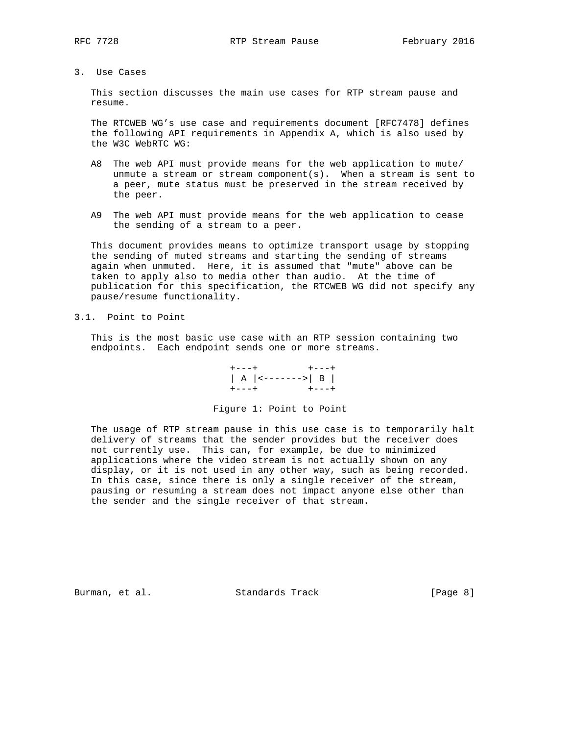3. Use Cases

 This section discusses the main use cases for RTP stream pause and resume.

 The RTCWEB WG's use case and requirements document [RFC7478] defines the following API requirements in Appendix A, which is also used by the W3C WebRTC WG:

- A8 The web API must provide means for the web application to mute/ unmute a stream or stream component(s). When a stream is sent to a peer, mute status must be preserved in the stream received by the peer.
- A9 The web API must provide means for the web application to cease the sending of a stream to a peer.

 This document provides means to optimize transport usage by stopping the sending of muted streams and starting the sending of streams again when unmuted. Here, it is assumed that "mute" above can be taken to apply also to media other than audio. At the time of publication for this specification, the RTCWEB WG did not specify any pause/resume functionality.

## 3.1. Point to Point

 This is the most basic use case with an RTP session containing two endpoints. Each endpoint sends one or more streams.

 +---+ +---+ | A |<------->| B | +---+ +---+

Figure 1: Point to Point

 The usage of RTP stream pause in this use case is to temporarily halt delivery of streams that the sender provides but the receiver does not currently use. This can, for example, be due to minimized applications where the video stream is not actually shown on any display, or it is not used in any other way, such as being recorded. In this case, since there is only a single receiver of the stream, pausing or resuming a stream does not impact anyone else other than the sender and the single receiver of that stream.

Burman, et al. Standards Track [Page 8]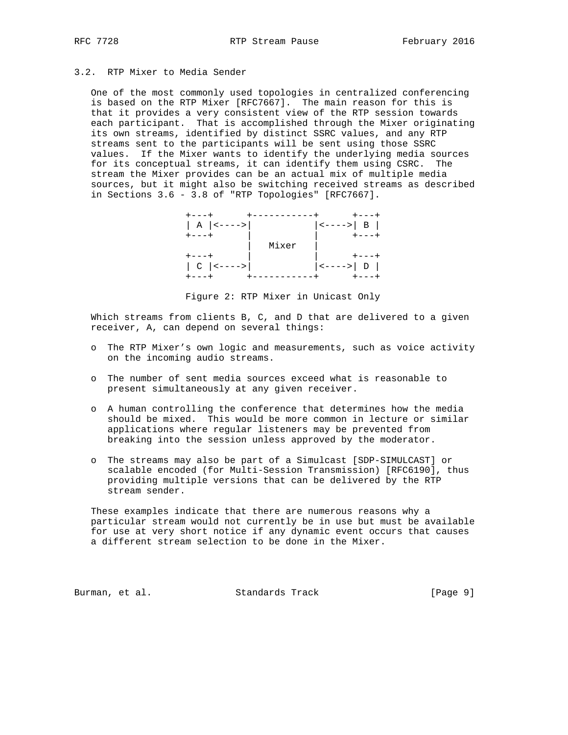## 3.2. RTP Mixer to Media Sender

 One of the most commonly used topologies in centralized conferencing is based on the RTP Mixer [RFC7667]. The main reason for this is that it provides a very consistent view of the RTP session towards each participant. That is accomplished through the Mixer originating its own streams, identified by distinct SSRC values, and any RTP streams sent to the participants will be sent using those SSRC values. If the Mixer wants to identify the underlying media sources for its conceptual streams, it can identify them using CSRC. The stream the Mixer provides can be an actual mix of multiple media sources, but it might also be switching received streams as described in Sections 3.6 - 3.8 of "RTP Topologies" [RFC7667].

| $ $ A $ $ <----> |       | $ $ <----> $ $ B $ $ |
|------------------|-------|----------------------|
| $+ - - - +$      |       |                      |
|                  | Mixer |                      |
|                  |       |                      |
| $ C $ <---->     |       | $ $ <----> $ $ D $ $ |
|                  |       |                      |

Figure 2: RTP Mixer in Unicast Only

Which streams from clients B, C, and D that are delivered to a given receiver, A, can depend on several things:

- o The RTP Mixer's own logic and measurements, such as voice activity on the incoming audio streams.
- o The number of sent media sources exceed what is reasonable to present simultaneously at any given receiver.
- o A human controlling the conference that determines how the media should be mixed. This would be more common in lecture or similar applications where regular listeners may be prevented from breaking into the session unless approved by the moderator.
- o The streams may also be part of a Simulcast [SDP-SIMULCAST] or scalable encoded (for Multi-Session Transmission) [RFC6190], thus providing multiple versions that can be delivered by the RTP stream sender.

 These examples indicate that there are numerous reasons why a particular stream would not currently be in use but must be available for use at very short notice if any dynamic event occurs that causes a different stream selection to be done in the Mixer.

Burman, et al. Standards Track [Page 9]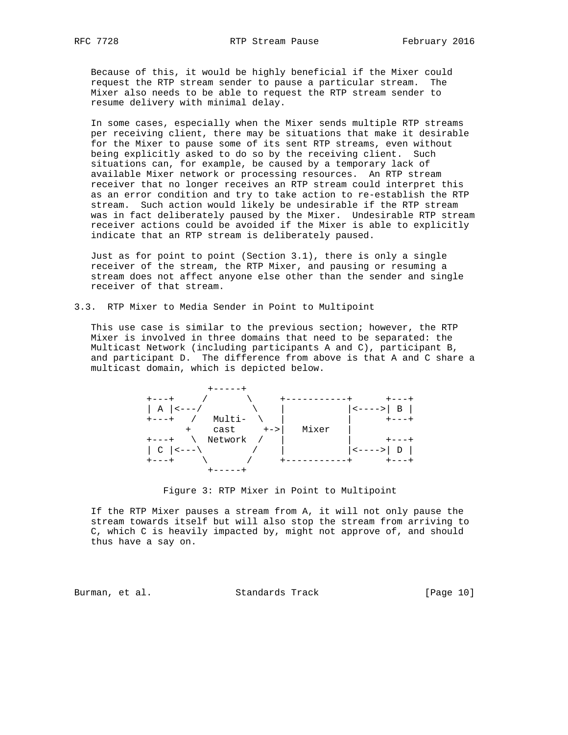Because of this, it would be highly beneficial if the Mixer could request the RTP stream sender to pause a particular stream. The Mixer also needs to be able to request the RTP stream sender to resume delivery with minimal delay.

 In some cases, especially when the Mixer sends multiple RTP streams per receiving client, there may be situations that make it desirable for the Mixer to pause some of its sent RTP streams, even without being explicitly asked to do so by the receiving client. Such situations can, for example, be caused by a temporary lack of available Mixer network or processing resources. An RTP stream receiver that no longer receives an RTP stream could interpret this as an error condition and try to take action to re-establish the RTP stream. Such action would likely be undesirable if the RTP stream was in fact deliberately paused by the Mixer. Undesirable RTP stream receiver actions could be avoided if the Mixer is able to explicitly indicate that an RTP stream is deliberately paused.

 Just as for point to point (Section 3.1), there is only a single receiver of the stream, the RTP Mixer, and pausing or resuming a stream does not affect anyone else other than the sender and single receiver of that stream.

3.3. RTP Mixer to Media Sender in Point to Multipoint

 This use case is similar to the previous section; however, the RTP Mixer is involved in three domains that need to be separated: the Multicast Network (including participants A and C), participant B, and participant D. The difference from above is that A and C share a multicast domain, which is depicted below.



Figure 3: RTP Mixer in Point to Multipoint

 If the RTP Mixer pauses a stream from A, it will not only pause the stream towards itself but will also stop the stream from arriving to C, which C is heavily impacted by, might not approve of, and should thus have a say on.

Burman, et al. Standards Track [Page 10]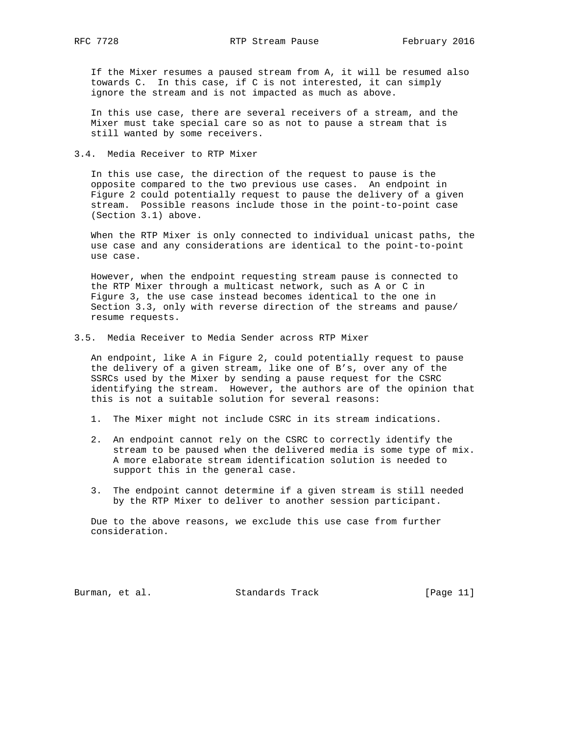If the Mixer resumes a paused stream from A, it will be resumed also towards C. In this case, if C is not interested, it can simply ignore the stream and is not impacted as much as above.

 In this use case, there are several receivers of a stream, and the Mixer must take special care so as not to pause a stream that is still wanted by some receivers.

3.4. Media Receiver to RTP Mixer

 In this use case, the direction of the request to pause is the opposite compared to the two previous use cases. An endpoint in Figure 2 could potentially request to pause the delivery of a given stream. Possible reasons include those in the point-to-point case (Section 3.1) above.

 When the RTP Mixer is only connected to individual unicast paths, the use case and any considerations are identical to the point-to-point use case.

 However, when the endpoint requesting stream pause is connected to the RTP Mixer through a multicast network, such as A or C in Figure 3, the use case instead becomes identical to the one in Section 3.3, only with reverse direction of the streams and pause/ resume requests.

3.5. Media Receiver to Media Sender across RTP Mixer

 An endpoint, like A in Figure 2, could potentially request to pause the delivery of a given stream, like one of B's, over any of the SSRCs used by the Mixer by sending a pause request for the CSRC identifying the stream. However, the authors are of the opinion that this is not a suitable solution for several reasons:

- 1. The Mixer might not include CSRC in its stream indications.
- 2. An endpoint cannot rely on the CSRC to correctly identify the stream to be paused when the delivered media is some type of mix. A more elaborate stream identification solution is needed to support this in the general case.
- 3. The endpoint cannot determine if a given stream is still needed by the RTP Mixer to deliver to another session participant.

 Due to the above reasons, we exclude this use case from further consideration.

Burman, et al. Standards Track [Page 11]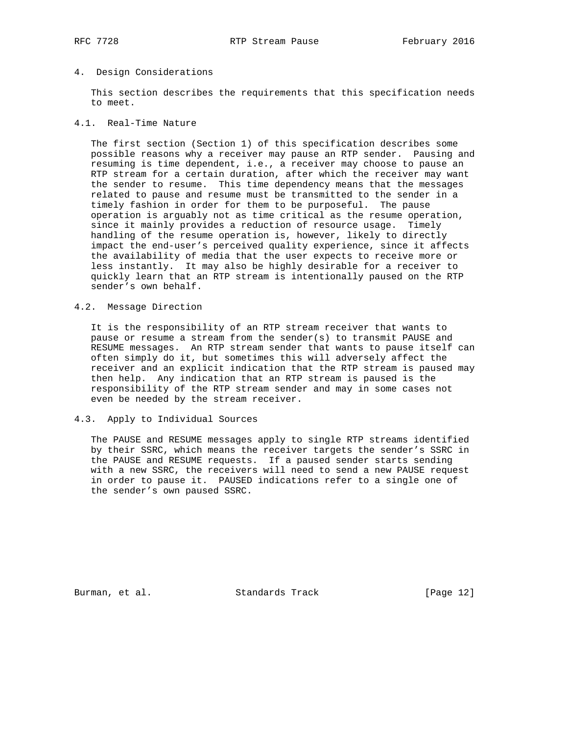#### 4. Design Considerations

 This section describes the requirements that this specification needs to meet.

#### 4.1. Real-Time Nature

 The first section (Section 1) of this specification describes some possible reasons why a receiver may pause an RTP sender. Pausing and resuming is time dependent, i.e., a receiver may choose to pause an RTP stream for a certain duration, after which the receiver may want the sender to resume. This time dependency means that the messages related to pause and resume must be transmitted to the sender in a timely fashion in order for them to be purposeful. The pause operation is arguably not as time critical as the resume operation, since it mainly provides a reduction of resource usage. Timely handling of the resume operation is, however, likely to directly impact the end-user's perceived quality experience, since it affects the availability of media that the user expects to receive more or less instantly. It may also be highly desirable for a receiver to quickly learn that an RTP stream is intentionally paused on the RTP sender's own behalf.

## 4.2. Message Direction

 It is the responsibility of an RTP stream receiver that wants to pause or resume a stream from the sender(s) to transmit PAUSE and RESUME messages. An RTP stream sender that wants to pause itself can often simply do it, but sometimes this will adversely affect the receiver and an explicit indication that the RTP stream is paused may then help. Any indication that an RTP stream is paused is the responsibility of the RTP stream sender and may in some cases not even be needed by the stream receiver.

#### 4.3. Apply to Individual Sources

 The PAUSE and RESUME messages apply to single RTP streams identified by their SSRC, which means the receiver targets the sender's SSRC in the PAUSE and RESUME requests. If a paused sender starts sending with a new SSRC, the receivers will need to send a new PAUSE request in order to pause it. PAUSED indications refer to a single one of the sender's own paused SSRC.

Burman, et al. Standards Track [Page 12]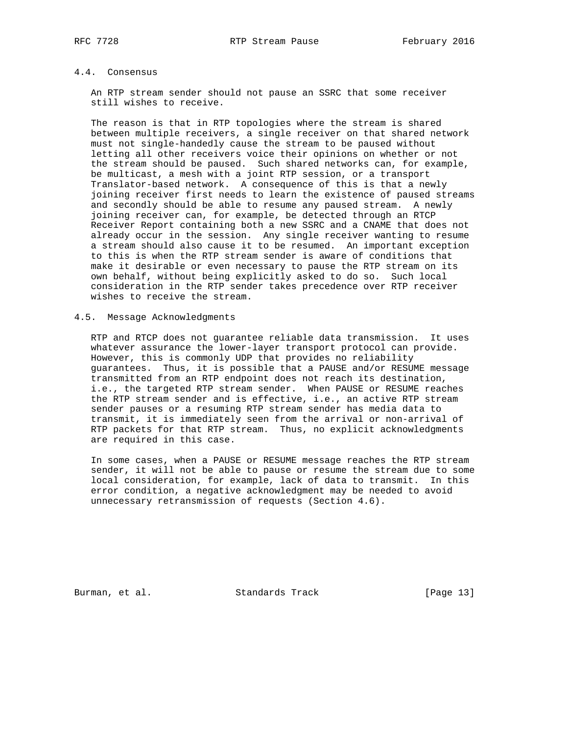## 4.4. Consensus

 An RTP stream sender should not pause an SSRC that some receiver still wishes to receive.

 The reason is that in RTP topologies where the stream is shared between multiple receivers, a single receiver on that shared network must not single-handedly cause the stream to be paused without letting all other receivers voice their opinions on whether or not the stream should be paused. Such shared networks can, for example, be multicast, a mesh with a joint RTP session, or a transport Translator-based network. A consequence of this is that a newly joining receiver first needs to learn the existence of paused streams and secondly should be able to resume any paused stream. A newly joining receiver can, for example, be detected through an RTCP Receiver Report containing both a new SSRC and a CNAME that does not already occur in the session. Any single receiver wanting to resume a stream should also cause it to be resumed. An important exception to this is when the RTP stream sender is aware of conditions that make it desirable or even necessary to pause the RTP stream on its own behalf, without being explicitly asked to do so. Such local consideration in the RTP sender takes precedence over RTP receiver wishes to receive the stream.

## 4.5. Message Acknowledgments

 RTP and RTCP does not guarantee reliable data transmission. It uses whatever assurance the lower-layer transport protocol can provide. However, this is commonly UDP that provides no reliability guarantees. Thus, it is possible that a PAUSE and/or RESUME message transmitted from an RTP endpoint does not reach its destination, i.e., the targeted RTP stream sender. When PAUSE or RESUME reaches the RTP stream sender and is effective, i.e., an active RTP stream sender pauses or a resuming RTP stream sender has media data to transmit, it is immediately seen from the arrival or non-arrival of RTP packets for that RTP stream. Thus, no explicit acknowledgments are required in this case.

 In some cases, when a PAUSE or RESUME message reaches the RTP stream sender, it will not be able to pause or resume the stream due to some local consideration, for example, lack of data to transmit. In this error condition, a negative acknowledgment may be needed to avoid unnecessary retransmission of requests (Section 4.6).

Burman, et al. Standards Track [Page 13]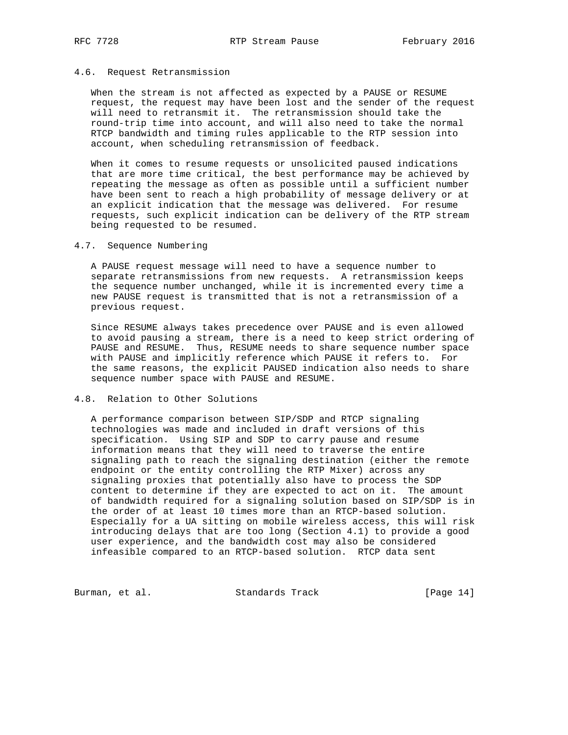#### 4.6. Request Retransmission

 When the stream is not affected as expected by a PAUSE or RESUME request, the request may have been lost and the sender of the request will need to retransmit it. The retransmission should take the round-trip time into account, and will also need to take the normal RTCP bandwidth and timing rules applicable to the RTP session into account, when scheduling retransmission of feedback.

 When it comes to resume requests or unsolicited paused indications that are more time critical, the best performance may be achieved by repeating the message as often as possible until a sufficient number have been sent to reach a high probability of message delivery or at an explicit indication that the message was delivered. For resume requests, such explicit indication can be delivery of the RTP stream being requested to be resumed.

## 4.7. Sequence Numbering

 A PAUSE request message will need to have a sequence number to separate retransmissions from new requests. A retransmission keeps the sequence number unchanged, while it is incremented every time a new PAUSE request is transmitted that is not a retransmission of a previous request.

 Since RESUME always takes precedence over PAUSE and is even allowed to avoid pausing a stream, there is a need to keep strict ordering of PAUSE and RESUME. Thus, RESUME needs to share sequence number space with PAUSE and implicitly reference which PAUSE it refers to. For the same reasons, the explicit PAUSED indication also needs to share sequence number space with PAUSE and RESUME.

#### 4.8. Relation to Other Solutions

 A performance comparison between SIP/SDP and RTCP signaling technologies was made and included in draft versions of this specification. Using SIP and SDP to carry pause and resume information means that they will need to traverse the entire signaling path to reach the signaling destination (either the remote endpoint or the entity controlling the RTP Mixer) across any signaling proxies that potentially also have to process the SDP content to determine if they are expected to act on it. The amount of bandwidth required for a signaling solution based on SIP/SDP is in the order of at least 10 times more than an RTCP-based solution. Especially for a UA sitting on mobile wireless access, this will risk introducing delays that are too long (Section 4.1) to provide a good user experience, and the bandwidth cost may also be considered infeasible compared to an RTCP-based solution. RTCP data sent

Burman, et al. Standards Track [Page 14]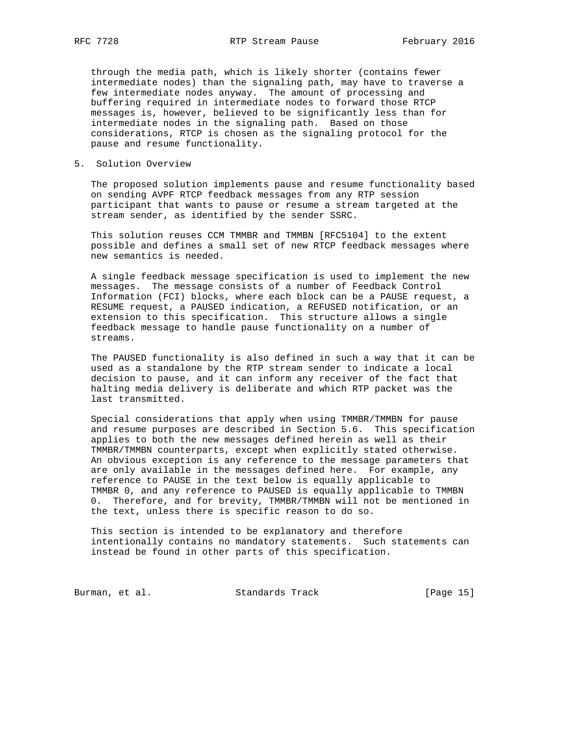through the media path, which is likely shorter (contains fewer intermediate nodes) than the signaling path, may have to traverse a few intermediate nodes anyway. The amount of processing and buffering required in intermediate nodes to forward those RTCP messages is, however, believed to be significantly less than for intermediate nodes in the signaling path. Based on those considerations, RTCP is chosen as the signaling protocol for the pause and resume functionality.

#### 5. Solution Overview

 The proposed solution implements pause and resume functionality based on sending AVPF RTCP feedback messages from any RTP session participant that wants to pause or resume a stream targeted at the stream sender, as identified by the sender SSRC.

 This solution reuses CCM TMMBR and TMMBN [RFC5104] to the extent possible and defines a small set of new RTCP feedback messages where new semantics is needed.

 A single feedback message specification is used to implement the new messages. The message consists of a number of Feedback Control Information (FCI) blocks, where each block can be a PAUSE request, a RESUME request, a PAUSED indication, a REFUSED notification, or an extension to this specification. This structure allows a single feedback message to handle pause functionality on a number of streams.

 The PAUSED functionality is also defined in such a way that it can be used as a standalone by the RTP stream sender to indicate a local decision to pause, and it can inform any receiver of the fact that halting media delivery is deliberate and which RTP packet was the last transmitted.

 Special considerations that apply when using TMMBR/TMMBN for pause and resume purposes are described in Section 5.6. This specification applies to both the new messages defined herein as well as their TMMBR/TMMBN counterparts, except when explicitly stated otherwise. An obvious exception is any reference to the message parameters that are only available in the messages defined here. For example, any reference to PAUSE in the text below is equally applicable to TMMBR 0, and any reference to PAUSED is equally applicable to TMMBN 0. Therefore, and for brevity, TMMBR/TMMBN will not be mentioned in the text, unless there is specific reason to do so.

 This section is intended to be explanatory and therefore intentionally contains no mandatory statements. Such statements can instead be found in other parts of this specification.

Burman, et al. Standards Track [Page 15]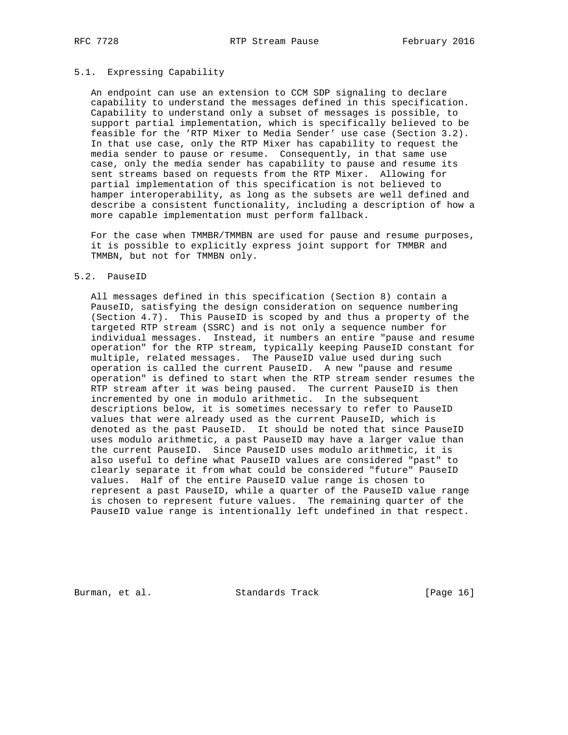#### 5.1. Expressing Capability

 An endpoint can use an extension to CCM SDP signaling to declare capability to understand the messages defined in this specification. Capability to understand only a subset of messages is possible, to support partial implementation, which is specifically believed to be feasible for the 'RTP Mixer to Media Sender' use case (Section 3.2). In that use case, only the RTP Mixer has capability to request the media sender to pause or resume. Consequently, in that same use case, only the media sender has capability to pause and resume its sent streams based on requests from the RTP Mixer. Allowing for partial implementation of this specification is not believed to hamper interoperability, as long as the subsets are well defined and describe a consistent functionality, including a description of how a more capable implementation must perform fallback.

 For the case when TMMBR/TMMBN are used for pause and resume purposes, it is possible to explicitly express joint support for TMMBR and TMMBN, but not for TMMBN only.

#### 5.2. PauseID

 All messages defined in this specification (Section 8) contain a PauseID, satisfying the design consideration on sequence numbering (Section 4.7). This PauseID is scoped by and thus a property of the targeted RTP stream (SSRC) and is not only a sequence number for individual messages. Instead, it numbers an entire "pause and resume operation" for the RTP stream, typically keeping PauseID constant for multiple, related messages. The PauseID value used during such operation is called the current PauseID. A new "pause and resume operation" is defined to start when the RTP stream sender resumes the RTP stream after it was being paused. The current PauseID is then incremented by one in modulo arithmetic. In the subsequent descriptions below, it is sometimes necessary to refer to PauseID values that were already used as the current PauseID, which is denoted as the past PauseID. It should be noted that since PauseID uses modulo arithmetic, a past PauseID may have a larger value than the current PauseID. Since PauseID uses modulo arithmetic, it is also useful to define what PauseID values are considered "past" to clearly separate it from what could be considered "future" PauseID values. Half of the entire PauseID value range is chosen to represent a past PauseID, while a quarter of the PauseID value range is chosen to represent future values. The remaining quarter of the PauseID value range is intentionally left undefined in that respect.

Burman, et al. Standards Track [Page 16]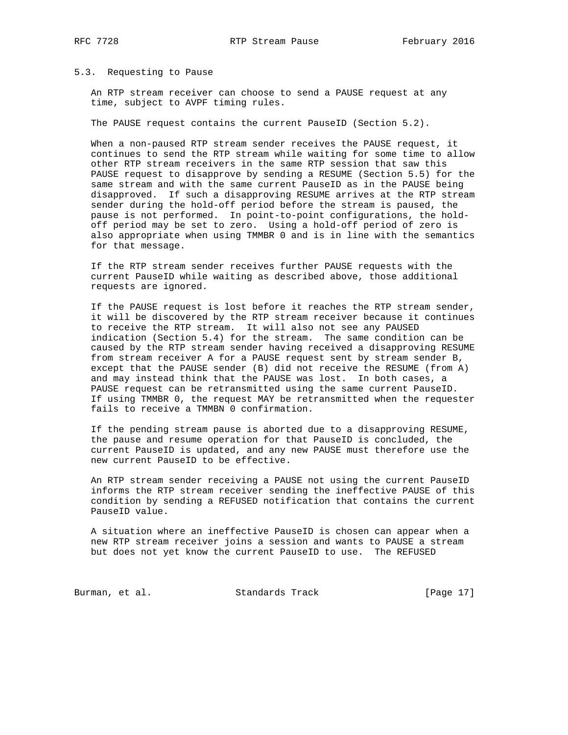#### 5.3. Requesting to Pause

 An RTP stream receiver can choose to send a PAUSE request at any time, subject to AVPF timing rules.

The PAUSE request contains the current PauseID (Section 5.2).

 When a non-paused RTP stream sender receives the PAUSE request, it continues to send the RTP stream while waiting for some time to allow other RTP stream receivers in the same RTP session that saw this PAUSE request to disapprove by sending a RESUME (Section 5.5) for the same stream and with the same current PauseID as in the PAUSE being disapproved. If such a disapproving RESUME arrives at the RTP stream sender during the hold-off period before the stream is paused, the pause is not performed. In point-to-point configurations, the hold off period may be set to zero. Using a hold-off period of zero is also appropriate when using TMMBR 0 and is in line with the semantics for that message.

 If the RTP stream sender receives further PAUSE requests with the current PauseID while waiting as described above, those additional requests are ignored.

 If the PAUSE request is lost before it reaches the RTP stream sender, it will be discovered by the RTP stream receiver because it continues to receive the RTP stream. It will also not see any PAUSED indication (Section 5.4) for the stream. The same condition can be caused by the RTP stream sender having received a disapproving RESUME from stream receiver A for a PAUSE request sent by stream sender B, except that the PAUSE sender (B) did not receive the RESUME (from A) and may instead think that the PAUSE was lost. In both cases, a PAUSE request can be retransmitted using the same current PauseID. If using TMMBR 0, the request MAY be retransmitted when the requester fails to receive a TMMBN 0 confirmation.

 If the pending stream pause is aborted due to a disapproving RESUME, the pause and resume operation for that PauseID is concluded, the current PauseID is updated, and any new PAUSE must therefore use the new current PauseID to be effective.

 An RTP stream sender receiving a PAUSE not using the current PauseID informs the RTP stream receiver sending the ineffective PAUSE of this condition by sending a REFUSED notification that contains the current PauseID value.

 A situation where an ineffective PauseID is chosen can appear when a new RTP stream receiver joins a session and wants to PAUSE a stream but does not yet know the current PauseID to use. The REFUSED

Burman, et al. Standards Track [Page 17]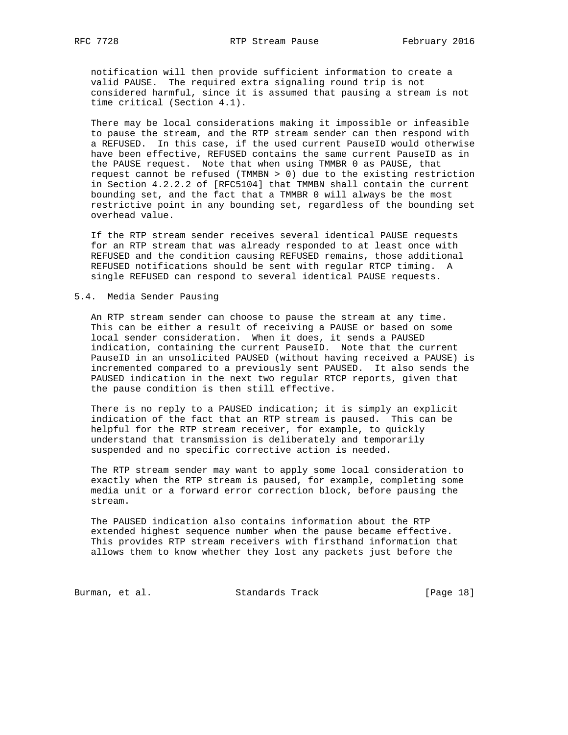notification will then provide sufficient information to create a valid PAUSE. The required extra signaling round trip is not considered harmful, since it is assumed that pausing a stream is not time critical (Section 4.1).

 There may be local considerations making it impossible or infeasible to pause the stream, and the RTP stream sender can then respond with a REFUSED. In this case, if the used current PauseID would otherwise have been effective, REFUSED contains the same current PauseID as in the PAUSE request. Note that when using TMMBR 0 as PAUSE, that request cannot be refused (TMMBN > 0) due to the existing restriction in Section 4.2.2.2 of [RFC5104] that TMMBN shall contain the current bounding set, and the fact that a TMMBR 0 will always be the most restrictive point in any bounding set, regardless of the bounding set overhead value.

 If the RTP stream sender receives several identical PAUSE requests for an RTP stream that was already responded to at least once with REFUSED and the condition causing REFUSED remains, those additional REFUSED notifications should be sent with regular RTCP timing. A single REFUSED can respond to several identical PAUSE requests.

### 5.4. Media Sender Pausing

 An RTP stream sender can choose to pause the stream at any time. This can be either a result of receiving a PAUSE or based on some local sender consideration. When it does, it sends a PAUSED indication, containing the current PauseID. Note that the current PauseID in an unsolicited PAUSED (without having received a PAUSE) is incremented compared to a previously sent PAUSED. It also sends the PAUSED indication in the next two regular RTCP reports, given that the pause condition is then still effective.

 There is no reply to a PAUSED indication; it is simply an explicit indication of the fact that an RTP stream is paused. This can be helpful for the RTP stream receiver, for example, to quickly understand that transmission is deliberately and temporarily suspended and no specific corrective action is needed.

 The RTP stream sender may want to apply some local consideration to exactly when the RTP stream is paused, for example, completing some media unit or a forward error correction block, before pausing the stream.

 The PAUSED indication also contains information about the RTP extended highest sequence number when the pause became effective. This provides RTP stream receivers with firsthand information that allows them to know whether they lost any packets just before the

Burman, et al. Standards Track [Page 18]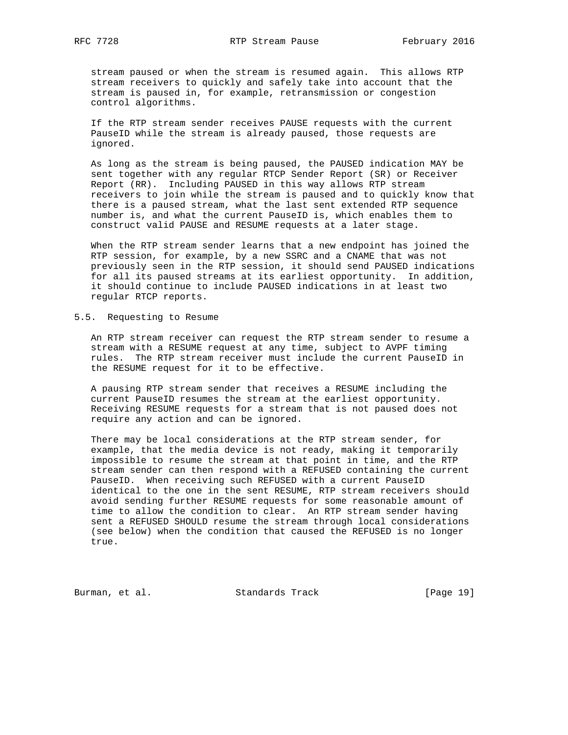stream paused or when the stream is resumed again. This allows RTP stream receivers to quickly and safely take into account that the stream is paused in, for example, retransmission or congestion control algorithms.

 If the RTP stream sender receives PAUSE requests with the current PauseID while the stream is already paused, those requests are ignored.

 As long as the stream is being paused, the PAUSED indication MAY be sent together with any regular RTCP Sender Report (SR) or Receiver Report (RR). Including PAUSED in this way allows RTP stream receivers to join while the stream is paused and to quickly know that there is a paused stream, what the last sent extended RTP sequence number is, and what the current PauseID is, which enables them to construct valid PAUSE and RESUME requests at a later stage.

 When the RTP stream sender learns that a new endpoint has joined the RTP session, for example, by a new SSRC and a CNAME that was not previously seen in the RTP session, it should send PAUSED indications for all its paused streams at its earliest opportunity. In addition, it should continue to include PAUSED indications in at least two regular RTCP reports.

#### 5.5. Requesting to Resume

 An RTP stream receiver can request the RTP stream sender to resume a stream with a RESUME request at any time, subject to AVPF timing rules. The RTP stream receiver must include the current PauseID in the RESUME request for it to be effective.

 A pausing RTP stream sender that receives a RESUME including the current PauseID resumes the stream at the earliest opportunity. Receiving RESUME requests for a stream that is not paused does not require any action and can be ignored.

 There may be local considerations at the RTP stream sender, for example, that the media device is not ready, making it temporarily impossible to resume the stream at that point in time, and the RTP stream sender can then respond with a REFUSED containing the current PauseID. When receiving such REFUSED with a current PauseID identical to the one in the sent RESUME, RTP stream receivers should avoid sending further RESUME requests for some reasonable amount of time to allow the condition to clear. An RTP stream sender having sent a REFUSED SHOULD resume the stream through local considerations (see below) when the condition that caused the REFUSED is no longer true.

Burman, et al. Standards Track [Page 19]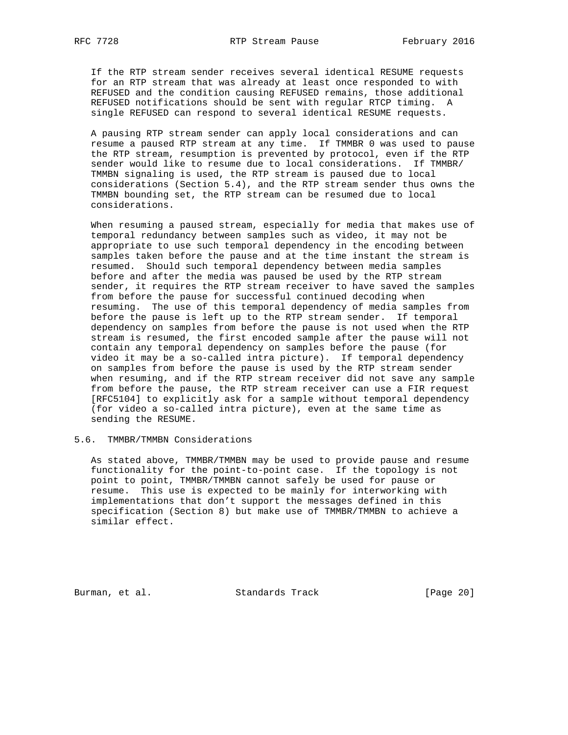If the RTP stream sender receives several identical RESUME requests for an RTP stream that was already at least once responded to with REFUSED and the condition causing REFUSED remains, those additional REFUSED notifications should be sent with regular RTCP timing. A single REFUSED can respond to several identical RESUME requests.

 A pausing RTP stream sender can apply local considerations and can resume a paused RTP stream at any time. If TMMBR 0 was used to pause the RTP stream, resumption is prevented by protocol, even if the RTP sender would like to resume due to local considerations. If TMMBR/ TMMBN signaling is used, the RTP stream is paused due to local considerations (Section 5.4), and the RTP stream sender thus owns the TMMBN bounding set, the RTP stream can be resumed due to local considerations.

 When resuming a paused stream, especially for media that makes use of temporal redundancy between samples such as video, it may not be appropriate to use such temporal dependency in the encoding between samples taken before the pause and at the time instant the stream is resumed. Should such temporal dependency between media samples before and after the media was paused be used by the RTP stream sender, it requires the RTP stream receiver to have saved the samples from before the pause for successful continued decoding when resuming. The use of this temporal dependency of media samples from before the pause is left up to the RTP stream sender. If temporal dependency on samples from before the pause is not used when the RTP stream is resumed, the first encoded sample after the pause will not contain any temporal dependency on samples before the pause (for video it may be a so-called intra picture). If temporal dependency on samples from before the pause is used by the RTP stream sender when resuming, and if the RTP stream receiver did not save any sample from before the pause, the RTP stream receiver can use a FIR request [RFC5104] to explicitly ask for a sample without temporal dependency (for video a so-called intra picture), even at the same time as sending the RESUME.

## 5.6. TMMBR/TMMBN Considerations

 As stated above, TMMBR/TMMBN may be used to provide pause and resume functionality for the point-to-point case. If the topology is not point to point, TMMBR/TMMBN cannot safely be used for pause or resume. This use is expected to be mainly for interworking with implementations that don't support the messages defined in this specification (Section 8) but make use of TMMBR/TMMBN to achieve a similar effect.

Burman, et al. Standards Track [Page 20]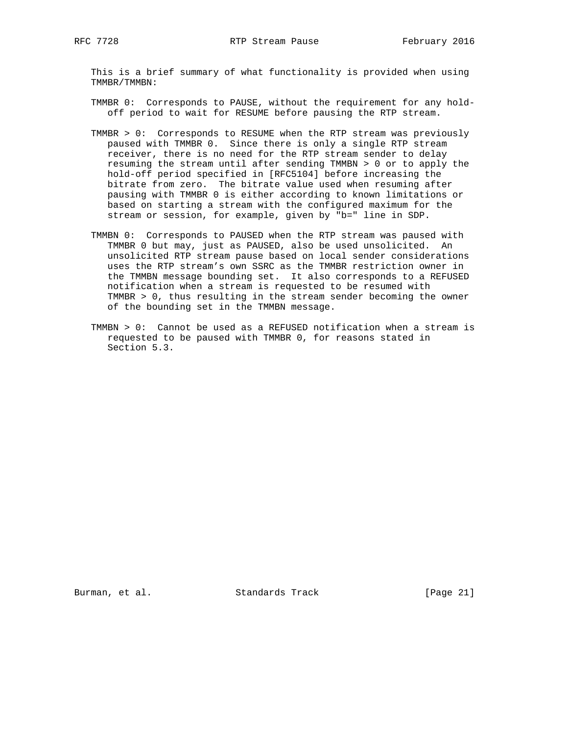This is a brief summary of what functionality is provided when using TMMBR/TMMBN:

- TMMBR 0: Corresponds to PAUSE, without the requirement for any hold off period to wait for RESUME before pausing the RTP stream.
- TMMBR > 0: Corresponds to RESUME when the RTP stream was previously paused with TMMBR 0. Since there is only a single RTP stream receiver, there is no need for the RTP stream sender to delay resuming the stream until after sending TMMBN > 0 or to apply the hold-off period specified in [RFC5104] before increasing the bitrate from zero. The bitrate value used when resuming after pausing with TMMBR 0 is either according to known limitations or based on starting a stream with the configured maximum for the stream or session, for example, given by "b=" line in SDP.
- TMMBN 0: Corresponds to PAUSED when the RTP stream was paused with TMMBR 0 but may, just as PAUSED, also be used unsolicited. An unsolicited RTP stream pause based on local sender considerations uses the RTP stream's own SSRC as the TMMBR restriction owner in the TMMBN message bounding set. It also corresponds to a REFUSED notification when a stream is requested to be resumed with TMMBR > 0, thus resulting in the stream sender becoming the owner of the bounding set in the TMMBN message.
- TMMBN > 0: Cannot be used as a REFUSED notification when a stream is requested to be paused with TMMBR 0, for reasons stated in Section 5.3.

Burman, et al. Standards Track [Page 21]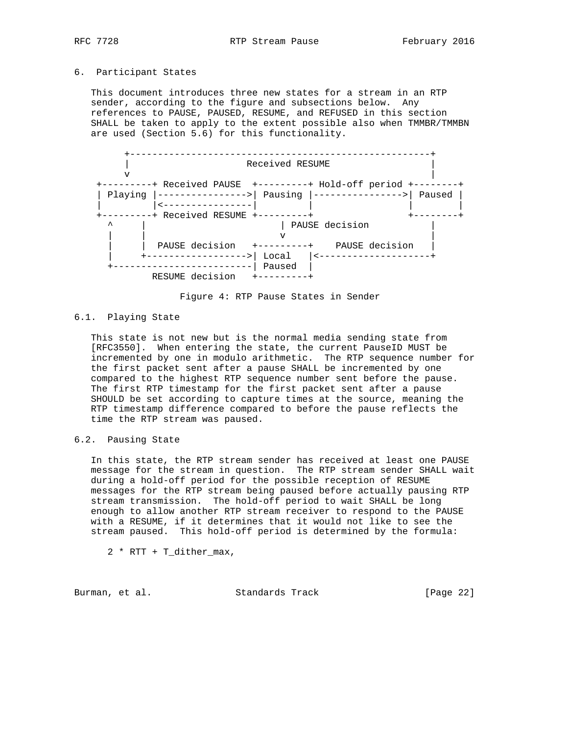## 6. Participant States

 This document introduces three new states for a stream in an RTP sender, according to the figure and subsections below. Any references to PAUSE, PAUSED, RESUME, and REFUSED in this section SHALL be taken to apply to the extent possible also when TMMBR/TMMBN are used (Section 5.6) for this functionality.



Figure 4: RTP Pause States in Sender

## 6.1. Playing State

 This state is not new but is the normal media sending state from [RFC3550]. When entering the state, the current PauseID MUST be incremented by one in modulo arithmetic. The RTP sequence number for the first packet sent after a pause SHALL be incremented by one compared to the highest RTP sequence number sent before the pause. The first RTP timestamp for the first packet sent after a pause SHOULD be set according to capture times at the source, meaning the RTP timestamp difference compared to before the pause reflects the time the RTP stream was paused.

## 6.2. Pausing State

 In this state, the RTP stream sender has received at least one PAUSE message for the stream in question. The RTP stream sender SHALL wait during a hold-off period for the possible reception of RESUME messages for the RTP stream being paused before actually pausing RTP stream transmission. The hold-off period to wait SHALL be long enough to allow another RTP stream receiver to respond to the PAUSE with a RESUME, if it determines that it would not like to see the stream paused. This hold-off period is determined by the formula:

2 \* RTT + T\_dither\_max,

Burman, et al. Standards Track [Page 22]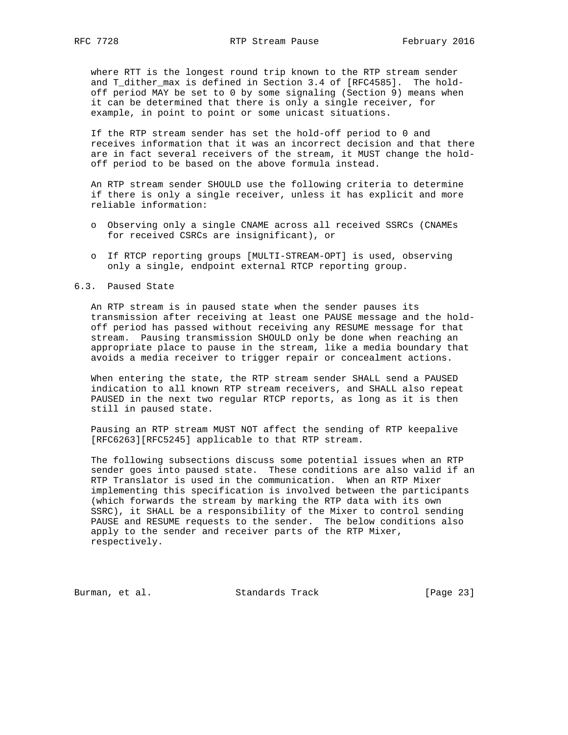where RTT is the longest round trip known to the RTP stream sender and T\_dither\_max is defined in Section 3.4 of [RFC4585]. The hold off period MAY be set to 0 by some signaling (Section 9) means when it can be determined that there is only a single receiver, for example, in point to point or some unicast situations.

 If the RTP stream sender has set the hold-off period to 0 and receives information that it was an incorrect decision and that there are in fact several receivers of the stream, it MUST change the hold off period to be based on the above formula instead.

 An RTP stream sender SHOULD use the following criteria to determine if there is only a single receiver, unless it has explicit and more reliable information:

- o Observing only a single CNAME across all received SSRCs (CNAMEs for received CSRCs are insignificant), or
- o If RTCP reporting groups [MULTI-STREAM-OPT] is used, observing only a single, endpoint external RTCP reporting group.

6.3. Paused State

 An RTP stream is in paused state when the sender pauses its transmission after receiving at least one PAUSE message and the hold off period has passed without receiving any RESUME message for that stream. Pausing transmission SHOULD only be done when reaching an appropriate place to pause in the stream, like a media boundary that avoids a media receiver to trigger repair or concealment actions.

 When entering the state, the RTP stream sender SHALL send a PAUSED indication to all known RTP stream receivers, and SHALL also repeat PAUSED in the next two regular RTCP reports, as long as it is then still in paused state.

 Pausing an RTP stream MUST NOT affect the sending of RTP keepalive [RFC6263][RFC5245] applicable to that RTP stream.

 The following subsections discuss some potential issues when an RTP sender goes into paused state. These conditions are also valid if an RTP Translator is used in the communication. When an RTP Mixer implementing this specification is involved between the participants (which forwards the stream by marking the RTP data with its own SSRC), it SHALL be a responsibility of the Mixer to control sending PAUSE and RESUME requests to the sender. The below conditions also apply to the sender and receiver parts of the RTP Mixer, respectively.

Burman, et al. Standards Track [Page 23]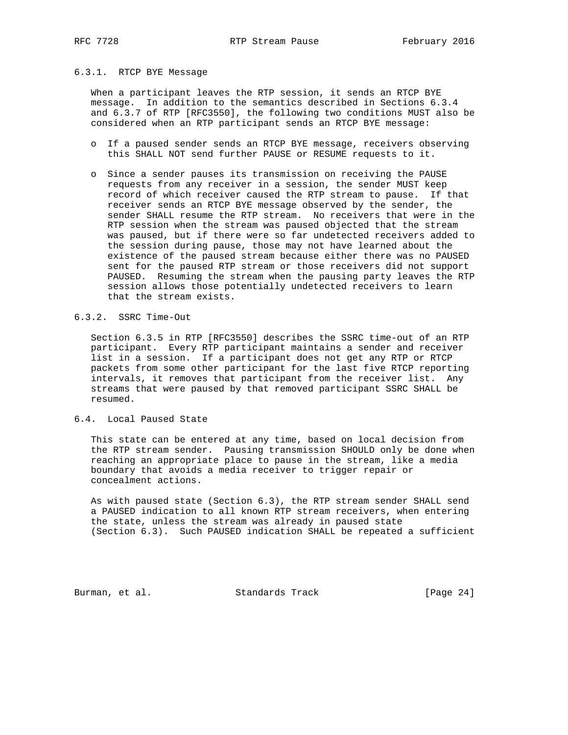#### 6.3.1. RTCP BYE Message

 When a participant leaves the RTP session, it sends an RTCP BYE message. In addition to the semantics described in Sections 6.3.4 and 6.3.7 of RTP [RFC3550], the following two conditions MUST also be considered when an RTP participant sends an RTCP BYE message:

- o If a paused sender sends an RTCP BYE message, receivers observing this SHALL NOT send further PAUSE or RESUME requests to it.
- o Since a sender pauses its transmission on receiving the PAUSE requests from any receiver in a session, the sender MUST keep record of which receiver caused the RTP stream to pause. If that receiver sends an RTCP BYE message observed by the sender, the sender SHALL resume the RTP stream. No receivers that were in the RTP session when the stream was paused objected that the stream was paused, but if there were so far undetected receivers added to the session during pause, those may not have learned about the existence of the paused stream because either there was no PAUSED sent for the paused RTP stream or those receivers did not support PAUSED. Resuming the stream when the pausing party leaves the RTP session allows those potentially undetected receivers to learn that the stream exists.
- 6.3.2. SSRC Time-Out

 Section 6.3.5 in RTP [RFC3550] describes the SSRC time-out of an RTP participant. Every RTP participant maintains a sender and receiver list in a session. If a participant does not get any RTP or RTCP packets from some other participant for the last five RTCP reporting intervals, it removes that participant from the receiver list. Any streams that were paused by that removed participant SSRC SHALL be resumed.

6.4. Local Paused State

 This state can be entered at any time, based on local decision from the RTP stream sender. Pausing transmission SHOULD only be done when reaching an appropriate place to pause in the stream, like a media boundary that avoids a media receiver to trigger repair or concealment actions.

 As with paused state (Section 6.3), the RTP stream sender SHALL send a PAUSED indication to all known RTP stream receivers, when entering the state, unless the stream was already in paused state (Section 6.3). Such PAUSED indication SHALL be repeated a sufficient

Burman, et al. Standards Track [Page 24]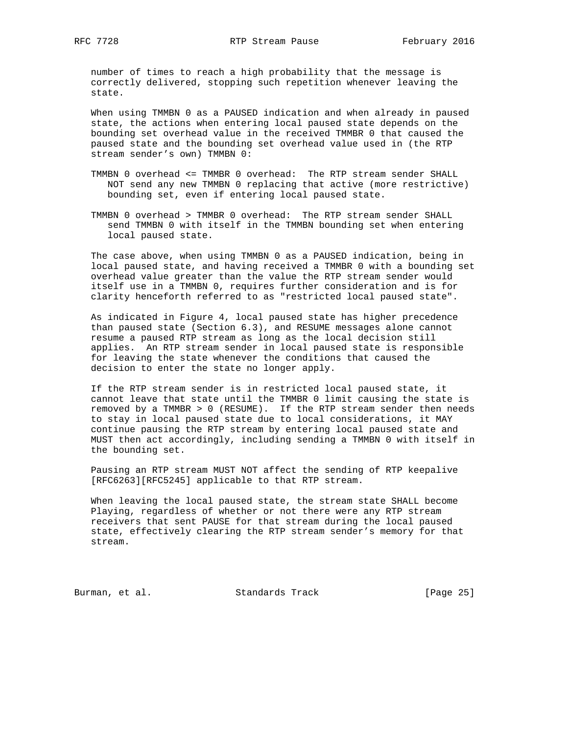number of times to reach a high probability that the message is correctly delivered, stopping such repetition whenever leaving the state.

 When using TMMBN 0 as a PAUSED indication and when already in paused state, the actions when entering local paused state depends on the bounding set overhead value in the received TMMBR 0 that caused the paused state and the bounding set overhead value used in (the RTP stream sender's own) TMMBN 0:

- TMMBN 0 overhead <= TMMBR 0 overhead: The RTP stream sender SHALL NOT send any new TMMBN 0 replacing that active (more restrictive) bounding set, even if entering local paused state.
- TMMBN 0 overhead > TMMBR 0 overhead: The RTP stream sender SHALL send TMMBN 0 with itself in the TMMBN bounding set when entering local paused state.

 The case above, when using TMMBN 0 as a PAUSED indication, being in local paused state, and having received a TMMBR 0 with a bounding set overhead value greater than the value the RTP stream sender would itself use in a TMMBN 0, requires further consideration and is for clarity henceforth referred to as "restricted local paused state".

 As indicated in Figure 4, local paused state has higher precedence than paused state (Section 6.3), and RESUME messages alone cannot resume a paused RTP stream as long as the local decision still applies. An RTP stream sender in local paused state is responsible for leaving the state whenever the conditions that caused the decision to enter the state no longer apply.

 If the RTP stream sender is in restricted local paused state, it cannot leave that state until the TMMBR 0 limit causing the state is removed by a TMMBR > 0 (RESUME). If the RTP stream sender then needs to stay in local paused state due to local considerations, it MAY continue pausing the RTP stream by entering local paused state and MUST then act accordingly, including sending a TMMBN 0 with itself in the bounding set.

 Pausing an RTP stream MUST NOT affect the sending of RTP keepalive [RFC6263][RFC5245] applicable to that RTP stream.

 When leaving the local paused state, the stream state SHALL become Playing, regardless of whether or not there were any RTP stream receivers that sent PAUSE for that stream during the local paused state, effectively clearing the RTP stream sender's memory for that stream.

Burman, et al. Standards Track [Page 25]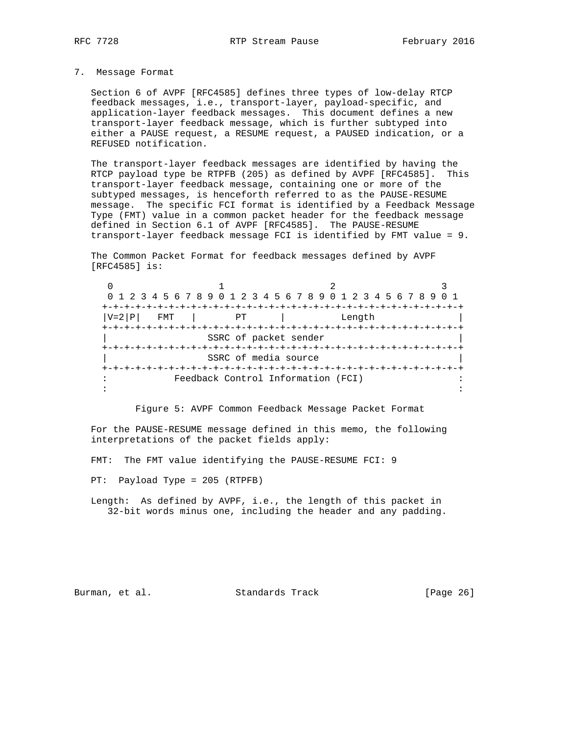#### 7. Message Format

 Section 6 of AVPF [RFC4585] defines three types of low-delay RTCP feedback messages, i.e., transport-layer, payload-specific, and application-layer feedback messages. This document defines a new transport-layer feedback message, which is further subtyped into either a PAUSE request, a RESUME request, a PAUSED indication, or a REFUSED notification.

 The transport-layer feedback messages are identified by having the RTCP payload type be RTPFB (205) as defined by AVPF [RFC4585]. This transport-layer feedback message, containing one or more of the subtyped messages, is henceforth referred to as the PAUSE-RESUME message. The specific FCI format is identified by a Feedback Message Type (FMT) value in a common packet header for the feedback message defined in Section 6.1 of AVPF [RFC4585]. The PAUSE-RESUME transport-layer feedback message FCI is identified by FMT value = 9.

 The Common Packet Format for feedback messages defined by AVPF [RFC4585] is:

0  $1$   $2$   $3$  0 1 2 3 4 5 6 7 8 9 0 1 2 3 4 5 6 7 8 9 0 1 2 3 4 5 6 7 8 9 0 1 +-+-+-+-+-+-+-+-+-+-+-+-+-+-+-+-+-+-+-+-+-+-+-+-+-+-+-+-+-+-+-+-+  $|V=2|P|$  FMT | PT | Length +-+-+-+-+-+-+-+-+-+-+-+-+-+-+-+-+-+-+-+-+-+-+-+-+-+-+-+-+-+-+-+-+ SSRC of packet sender +-+-+-+-+-+-+-+-+-+-+-+-+-+-+-+-+-+-+-+-+-+-+-+-+-+-+-+-+-+-+-+-+ SSRC of media source +-+-+-+-+-+-+-+-+-+-+-+-+-+-+-+-+-+-+-+-+-+-+-+-+-+-+-+-+-+-+-+-+ : Feedback Control Information (FCI) : in the second contract of the second contract of the second contract of the second contract of the second contract of the second contract of the second contract of the second contract of the second contract of the second c

Figure 5: AVPF Common Feedback Message Packet Format

 For the PAUSE-RESUME message defined in this memo, the following interpretations of the packet fields apply:

FMT: The FMT value identifying the PAUSE-RESUME FCI: 9

PT: Payload Type = 205 (RTPFB)

 Length: As defined by AVPF, i.e., the length of this packet in 32-bit words minus one, including the header and any padding.

Burman, et al. Standards Track [Page 26]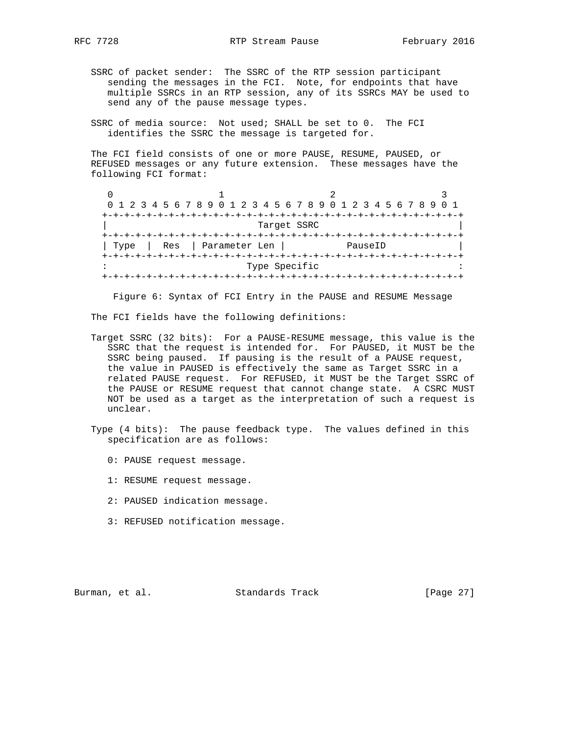- SSRC of packet sender: The SSRC of the RTP session participant sending the messages in the FCI. Note, for endpoints that have multiple SSRCs in an RTP session, any of its SSRCs MAY be used to send any of the pause message types.
	- SSRC of media source: Not used; SHALL be set to 0. The FCI identifies the SSRC the message is targeted for.

 The FCI field consists of one or more PAUSE, RESUME, PAUSED, or REFUSED messages or any future extension. These messages have the following FCI format:

|      | 0 1 2 3 4 5 6 7 8 9 0 1 2 3 4 5 6 7 8 9 0 1 2 3 4 5 6 7 8 9 0 1 |               |         |  |
|------|-----------------------------------------------------------------|---------------|---------|--|
|      |                                                                 |               |         |  |
|      |                                                                 | Target SSRC   |         |  |
|      |                                                                 |               |         |  |
| Type | Parameter Len<br>Res                                            |               | PauseID |  |
|      |                                                                 |               |         |  |
|      |                                                                 | Type Specific |         |  |
|      |                                                                 |               |         |  |

Figure 6: Syntax of FCI Entry in the PAUSE and RESUME Message

The FCI fields have the following definitions:

- Target SSRC (32 bits): For a PAUSE-RESUME message, this value is the SSRC that the request is intended for. For PAUSED, it MUST be the SSRC being paused. If pausing is the result of a PAUSE request, the value in PAUSED is effectively the same as Target SSRC in a related PAUSE request. For REFUSED, it MUST be the Target SSRC of the PAUSE or RESUME request that cannot change state. A CSRC MUST NOT be used as a target as the interpretation of such a request is unclear.
- Type (4 bits): The pause feedback type. The values defined in this specification are as follows:
	- 0: PAUSE request message.
	- 1: RESUME request message.
	- 2: PAUSED indication message.
	- 3: REFUSED notification message.

Burman, et al. Standards Track [Page 27]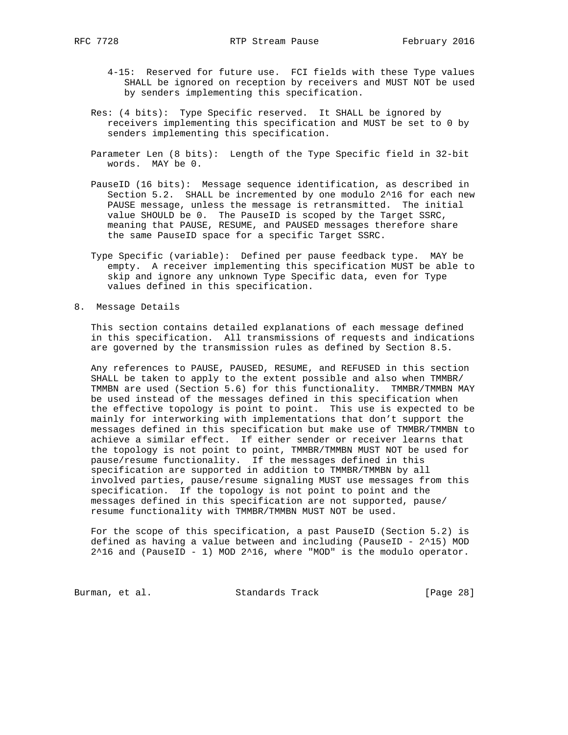- 4-15: Reserved for future use. FCI fields with these Type values SHALL be ignored on reception by receivers and MUST NOT be used by senders implementing this specification.
- Res: (4 bits): Type Specific reserved. It SHALL be ignored by receivers implementing this specification and MUST be set to 0 by senders implementing this specification.
- Parameter Len (8 bits): Length of the Type Specific field in 32-bit words. MAY be 0.
- PauseID (16 bits): Message sequence identification, as described in Section 5.2. SHALL be incremented by one modulo 2^16 for each new PAUSE message, unless the message is retransmitted. The initial value SHOULD be 0. The PauseID is scoped by the Target SSRC, meaning that PAUSE, RESUME, and PAUSED messages therefore share the same PauseID space for a specific Target SSRC.
	- Type Specific (variable): Defined per pause feedback type. MAY be empty. A receiver implementing this specification MUST be able to skip and ignore any unknown Type Specific data, even for Type values defined in this specification.
- 8. Message Details

 This section contains detailed explanations of each message defined in this specification. All transmissions of requests and indications are governed by the transmission rules as defined by Section 8.5.

 Any references to PAUSE, PAUSED, RESUME, and REFUSED in this section SHALL be taken to apply to the extent possible and also when TMMBR/ TMMBN are used (Section 5.6) for this functionality. TMMBR/TMMBN MAY be used instead of the messages defined in this specification when the effective topology is point to point. This use is expected to be mainly for interworking with implementations that don't support the messages defined in this specification but make use of TMMBR/TMMBN to achieve a similar effect. If either sender or receiver learns that the topology is not point to point, TMMBR/TMMBN MUST NOT be used for pause/resume functionality. If the messages defined in this specification are supported in addition to TMMBR/TMMBN by all involved parties, pause/resume signaling MUST use messages from this specification. If the topology is not point to point and the messages defined in this specification are not supported, pause/ resume functionality with TMMBR/TMMBN MUST NOT be used.

 For the scope of this specification, a past PauseID (Section 5.2) is defined as having a value between and including (PauseID - 2^15) MOD 2^16 and (PauseID - 1) MOD 2^16, where "MOD" is the modulo operator.

Burman, et al. Standards Track [Page 28]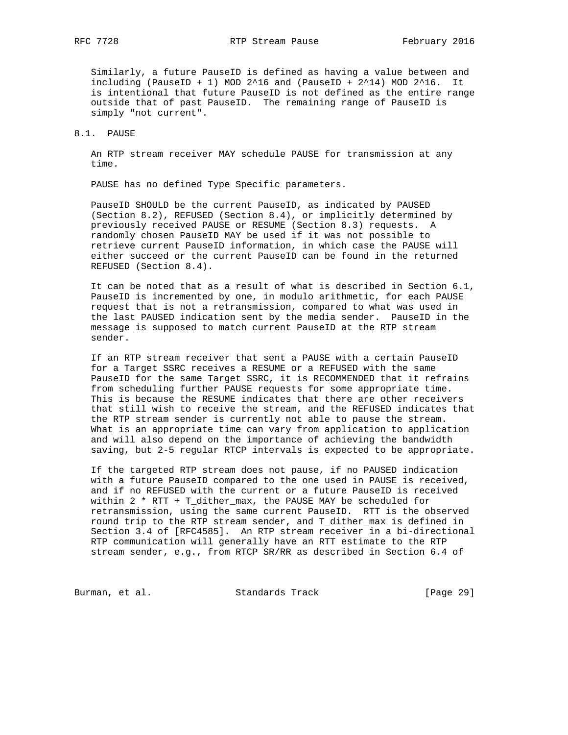Similarly, a future PauseID is defined as having a value between and including (PauseID + 1) MOD  $2^16$  and (PauseID +  $2^14$ ) MOD  $2^16$ . It is intentional that future PauseID is not defined as the entire range outside that of past PauseID. The remaining range of PauseID is simply "not current".

## 8.1. PAUSE

 An RTP stream receiver MAY schedule PAUSE for transmission at any time.

PAUSE has no defined Type Specific parameters.

 PauseID SHOULD be the current PauseID, as indicated by PAUSED (Section 8.2), REFUSED (Section 8.4), or implicitly determined by previously received PAUSE or RESUME (Section 8.3) requests. A randomly chosen PauseID MAY be used if it was not possible to retrieve current PauseID information, in which case the PAUSE will either succeed or the current PauseID can be found in the returned REFUSED (Section 8.4).

 It can be noted that as a result of what is described in Section 6.1, PauseID is incremented by one, in modulo arithmetic, for each PAUSE request that is not a retransmission, compared to what was used in the last PAUSED indication sent by the media sender. PauseID in the message is supposed to match current PauseID at the RTP stream sender.

 If an RTP stream receiver that sent a PAUSE with a certain PauseID for a Target SSRC receives a RESUME or a REFUSED with the same PauseID for the same Target SSRC, it is RECOMMENDED that it refrains from scheduling further PAUSE requests for some appropriate time. This is because the RESUME indicates that there are other receivers that still wish to receive the stream, and the REFUSED indicates that the RTP stream sender is currently not able to pause the stream. What is an appropriate time can vary from application to application and will also depend on the importance of achieving the bandwidth saving, but 2-5 regular RTCP intervals is expected to be appropriate.

 If the targeted RTP stream does not pause, if no PAUSED indication with a future PauseID compared to the one used in PAUSE is received, and if no REFUSED with the current or a future PauseID is received within 2 \* RTT + T\_dither\_max, the PAUSE MAY be scheduled for retransmission, using the same current PauseID. RTT is the observed round trip to the RTP stream sender, and T\_dither\_max is defined in Section 3.4 of [RFC4585]. An RTP stream receiver in a bi-directional RTP communication will generally have an RTT estimate to the RTP stream sender, e.g., from RTCP SR/RR as described in Section 6.4 of

Burman, et al. Standards Track [Page 29]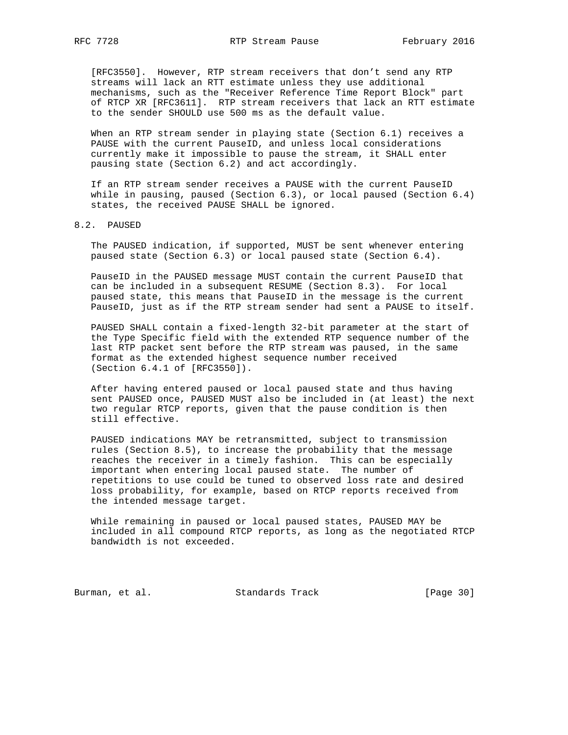[RFC3550]. However, RTP stream receivers that don't send any RTP streams will lack an RTT estimate unless they use additional mechanisms, such as the "Receiver Reference Time Report Block" part of RTCP XR [RFC3611]. RTP stream receivers that lack an RTT estimate to the sender SHOULD use 500 ms as the default value.

 When an RTP stream sender in playing state (Section 6.1) receives a PAUSE with the current PauseID, and unless local considerations currently make it impossible to pause the stream, it SHALL enter pausing state (Section 6.2) and act accordingly.

 If an RTP stream sender receives a PAUSE with the current PauseID while in pausing, paused (Section 6.3), or local paused (Section 6.4) states, the received PAUSE SHALL be ignored.

8.2. PAUSED

 The PAUSED indication, if supported, MUST be sent whenever entering paused state (Section 6.3) or local paused state (Section 6.4).

 PauseID in the PAUSED message MUST contain the current PauseID that can be included in a subsequent RESUME (Section 8.3). For local paused state, this means that PauseID in the message is the current PauseID, just as if the RTP stream sender had sent a PAUSE to itself.

 PAUSED SHALL contain a fixed-length 32-bit parameter at the start of the Type Specific field with the extended RTP sequence number of the last RTP packet sent before the RTP stream was paused, in the same format as the extended highest sequence number received (Section 6.4.1 of [RFC3550]).

 After having entered paused or local paused state and thus having sent PAUSED once, PAUSED MUST also be included in (at least) the next two regular RTCP reports, given that the pause condition is then still effective.

 PAUSED indications MAY be retransmitted, subject to transmission rules (Section 8.5), to increase the probability that the message reaches the receiver in a timely fashion. This can be especially important when entering local paused state. The number of repetitions to use could be tuned to observed loss rate and desired loss probability, for example, based on RTCP reports received from the intended message target.

 While remaining in paused or local paused states, PAUSED MAY be included in all compound RTCP reports, as long as the negotiated RTCP bandwidth is not exceeded.

Burman, et al. Standards Track [Page 30]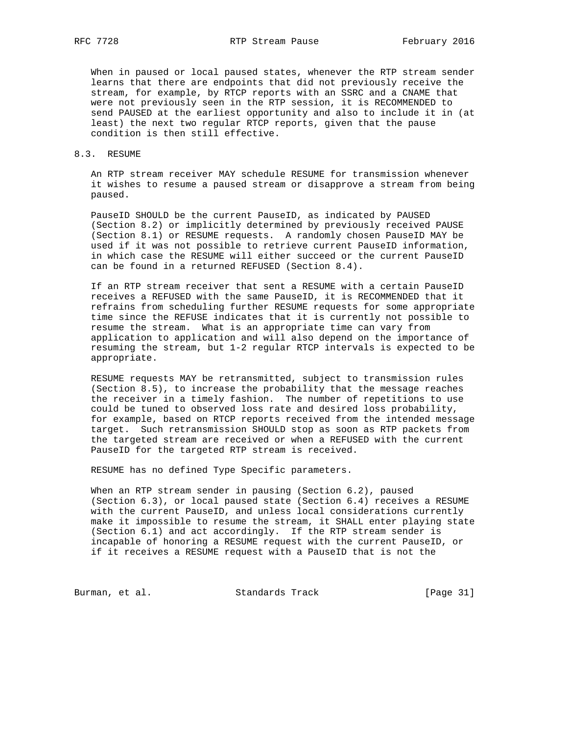When in paused or local paused states, whenever the RTP stream sender learns that there are endpoints that did not previously receive the stream, for example, by RTCP reports with an SSRC and a CNAME that were not previously seen in the RTP session, it is RECOMMENDED to send PAUSED at the earliest opportunity and also to include it in (at least) the next two regular RTCP reports, given that the pause condition is then still effective.

## 8.3. RESUME

 An RTP stream receiver MAY schedule RESUME for transmission whenever it wishes to resume a paused stream or disapprove a stream from being paused.

 PauseID SHOULD be the current PauseID, as indicated by PAUSED (Section 8.2) or implicitly determined by previously received PAUSE (Section 8.1) or RESUME requests. A randomly chosen PauseID MAY be used if it was not possible to retrieve current PauseID information, in which case the RESUME will either succeed or the current PauseID can be found in a returned REFUSED (Section 8.4).

 If an RTP stream receiver that sent a RESUME with a certain PauseID receives a REFUSED with the same PauseID, it is RECOMMENDED that it refrains from scheduling further RESUME requests for some appropriate time since the REFUSE indicates that it is currently not possible to resume the stream. What is an appropriate time can vary from application to application and will also depend on the importance of resuming the stream, but 1-2 regular RTCP intervals is expected to be appropriate.

 RESUME requests MAY be retransmitted, subject to transmission rules (Section 8.5), to increase the probability that the message reaches the receiver in a timely fashion. The number of repetitions to use could be tuned to observed loss rate and desired loss probability, for example, based on RTCP reports received from the intended message target. Such retransmission SHOULD stop as soon as RTP packets from the targeted stream are received or when a REFUSED with the current PauseID for the targeted RTP stream is received.

RESUME has no defined Type Specific parameters.

 When an RTP stream sender in pausing (Section 6.2), paused (Section 6.3), or local paused state (Section 6.4) receives a RESUME with the current PauseID, and unless local considerations currently make it impossible to resume the stream, it SHALL enter playing state (Section 6.1) and act accordingly. If the RTP stream sender is incapable of honoring a RESUME request with the current PauseID, or if it receives a RESUME request with a PauseID that is not the

Burman, et al. Standards Track [Page 31]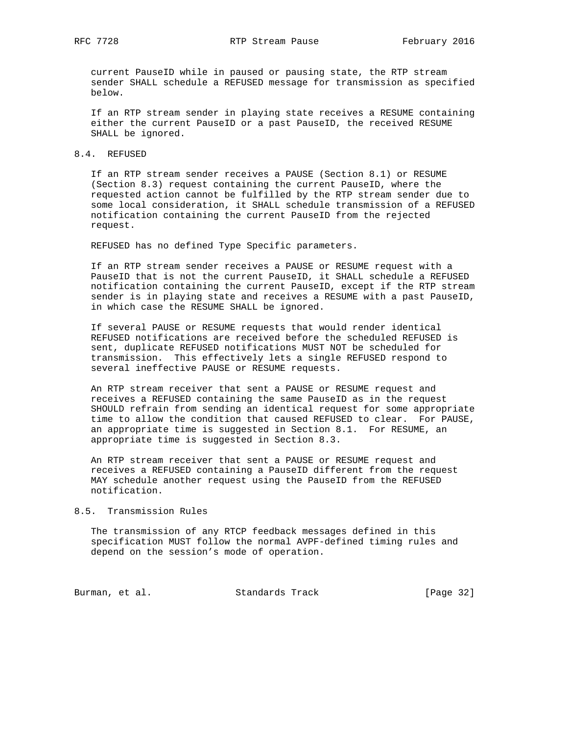current PauseID while in paused or pausing state, the RTP stream sender SHALL schedule a REFUSED message for transmission as specified below.

 If an RTP stream sender in playing state receives a RESUME containing either the current PauseID or a past PauseID, the received RESUME SHALL be ignored.

## 8.4. REFUSED

 If an RTP stream sender receives a PAUSE (Section 8.1) or RESUME (Section 8.3) request containing the current PauseID, where the requested action cannot be fulfilled by the RTP stream sender due to some local consideration, it SHALL schedule transmission of a REFUSED notification containing the current PauseID from the rejected request.

REFUSED has no defined Type Specific parameters.

 If an RTP stream sender receives a PAUSE or RESUME request with a PauseID that is not the current PauseID, it SHALL schedule a REFUSED notification containing the current PauseID, except if the RTP stream sender is in playing state and receives a RESUME with a past PauseID, in which case the RESUME SHALL be ignored.

 If several PAUSE or RESUME requests that would render identical REFUSED notifications are received before the scheduled REFUSED is sent, duplicate REFUSED notifications MUST NOT be scheduled for transmission. This effectively lets a single REFUSED respond to several ineffective PAUSE or RESUME requests.

 An RTP stream receiver that sent a PAUSE or RESUME request and receives a REFUSED containing the same PauseID as in the request SHOULD refrain from sending an identical request for some appropriate time to allow the condition that caused REFUSED to clear. For PAUSE, an appropriate time is suggested in Section 8.1. For RESUME, an appropriate time is suggested in Section 8.3.

 An RTP stream receiver that sent a PAUSE or RESUME request and receives a REFUSED containing a PauseID different from the request MAY schedule another request using the PauseID from the REFUSED notification.

## 8.5. Transmission Rules

 The transmission of any RTCP feedback messages defined in this specification MUST follow the normal AVPF-defined timing rules and depend on the session's mode of operation.

Burman, et al. Standards Track [Page 32]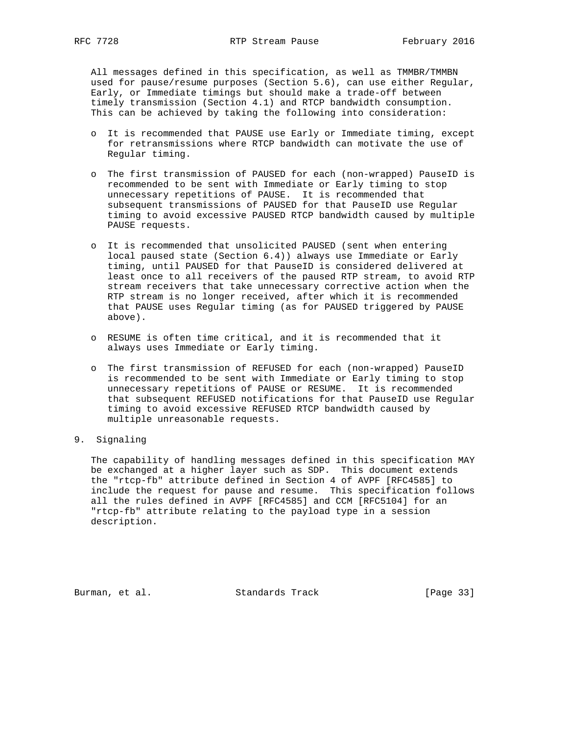All messages defined in this specification, as well as TMMBR/TMMBN used for pause/resume purposes (Section 5.6), can use either Regular, Early, or Immediate timings but should make a trade-off between timely transmission (Section 4.1) and RTCP bandwidth consumption. This can be achieved by taking the following into consideration:

- o It is recommended that PAUSE use Early or Immediate timing, except for retransmissions where RTCP bandwidth can motivate the use of Regular timing.
- o The first transmission of PAUSED for each (non-wrapped) PauseID is recommended to be sent with Immediate or Early timing to stop unnecessary repetitions of PAUSE. It is recommended that subsequent transmissions of PAUSED for that PauseID use Regular timing to avoid excessive PAUSED RTCP bandwidth caused by multiple PAUSE requests.
- o It is recommended that unsolicited PAUSED (sent when entering local paused state (Section 6.4)) always use Immediate or Early timing, until PAUSED for that PauseID is considered delivered at least once to all receivers of the paused RTP stream, to avoid RTP stream receivers that take unnecessary corrective action when the RTP stream is no longer received, after which it is recommended that PAUSE uses Regular timing (as for PAUSED triggered by PAUSE above).
- o RESUME is often time critical, and it is recommended that it always uses Immediate or Early timing.
- o The first transmission of REFUSED for each (non-wrapped) PauseID is recommended to be sent with Immediate or Early timing to stop unnecessary repetitions of PAUSE or RESUME. It is recommended that subsequent REFUSED notifications for that PauseID use Regular timing to avoid excessive REFUSED RTCP bandwidth caused by multiple unreasonable requests.
- 9. Signaling

 The capability of handling messages defined in this specification MAY be exchanged at a higher layer such as SDP. This document extends the "rtcp-fb" attribute defined in Section 4 of AVPF [RFC4585] to include the request for pause and resume. This specification follows all the rules defined in AVPF [RFC4585] and CCM [RFC5104] for an "rtcp-fb" attribute relating to the payload type in a session description.

Burman, et al. Standards Track [Page 33]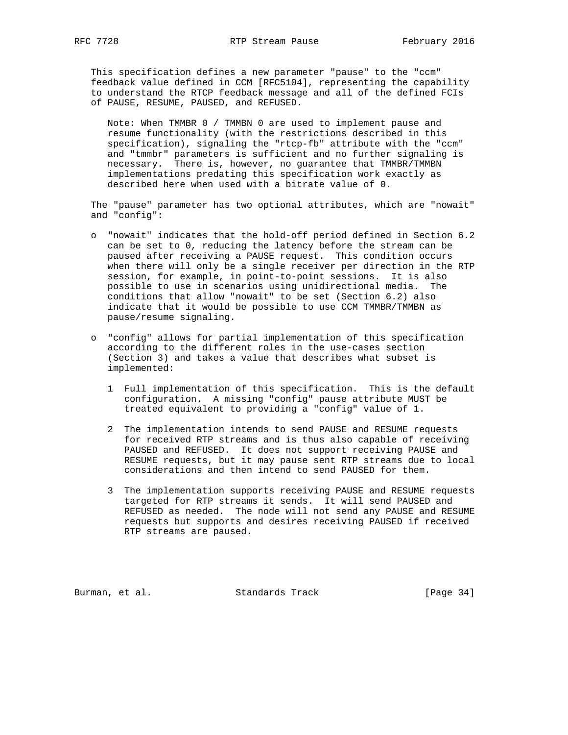This specification defines a new parameter "pause" to the "ccm" feedback value defined in CCM [RFC5104], representing the capability to understand the RTCP feedback message and all of the defined FCIs of PAUSE, RESUME, PAUSED, and REFUSED.

 Note: When TMMBR 0 / TMMBN 0 are used to implement pause and resume functionality (with the restrictions described in this specification), signaling the "rtcp-fb" attribute with the "ccm" and "tmmbr" parameters is sufficient and no further signaling is necessary. There is, however, no guarantee that TMMBR/TMMBN implementations predating this specification work exactly as described here when used with a bitrate value of 0.

 The "pause" parameter has two optional attributes, which are "nowait" and "config":

- o "nowait" indicates that the hold-off period defined in Section 6.2 can be set to 0, reducing the latency before the stream can be paused after receiving a PAUSE request. This condition occurs when there will only be a single receiver per direction in the RTP session, for example, in point-to-point sessions. It is also possible to use in scenarios using unidirectional media. The conditions that allow "nowait" to be set (Section 6.2) also indicate that it would be possible to use CCM TMMBR/TMMBN as pause/resume signaling.
- o "config" allows for partial implementation of this specification according to the different roles in the use-cases section (Section 3) and takes a value that describes what subset is implemented:
	- 1 Full implementation of this specification. This is the default configuration. A missing "config" pause attribute MUST be treated equivalent to providing a "config" value of 1.
	- 2 The implementation intends to send PAUSE and RESUME requests for received RTP streams and is thus also capable of receiving PAUSED and REFUSED. It does not support receiving PAUSE and RESUME requests, but it may pause sent RTP streams due to local considerations and then intend to send PAUSED for them.
	- 3 The implementation supports receiving PAUSE and RESUME requests targeted for RTP streams it sends. It will send PAUSED and REFUSED as needed. The node will not send any PAUSE and RESUME requests but supports and desires receiving PAUSED if received RTP streams are paused.

Burman, et al. Standards Track [Page 34]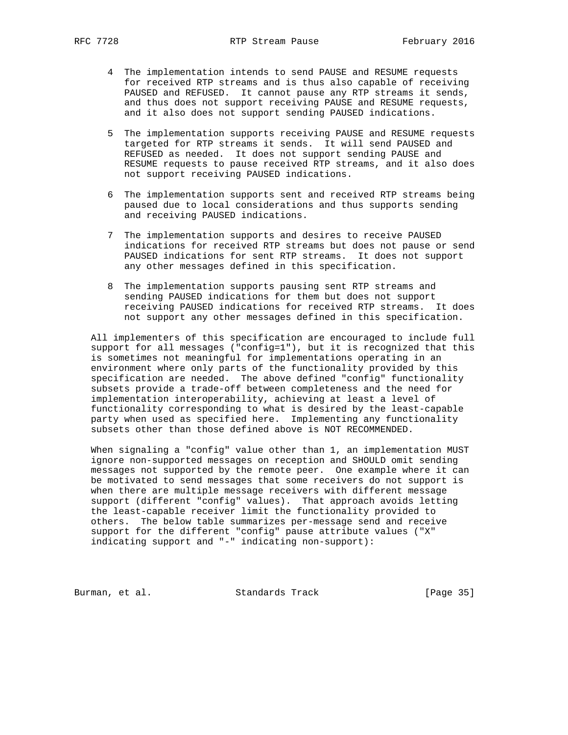- 4 The implementation intends to send PAUSE and RESUME requests for received RTP streams and is thus also capable of receiving PAUSED and REFUSED. It cannot pause any RTP streams it sends, and thus does not support receiving PAUSE and RESUME requests, and it also does not support sending PAUSED indications.
- 5 The implementation supports receiving PAUSE and RESUME requests targeted for RTP streams it sends. It will send PAUSED and REFUSED as needed. It does not support sending PAUSE and RESUME requests to pause received RTP streams, and it also does not support receiving PAUSED indications.
- 6 The implementation supports sent and received RTP streams being paused due to local considerations and thus supports sending and receiving PAUSED indications.
- 7 The implementation supports and desires to receive PAUSED indications for received RTP streams but does not pause or send PAUSED indications for sent RTP streams. It does not support any other messages defined in this specification.
- 8 The implementation supports pausing sent RTP streams and sending PAUSED indications for them but does not support receiving PAUSED indications for received RTP streams. It does not support any other messages defined in this specification.

 All implementers of this specification are encouraged to include full support for all messages ("config=1"), but it is recognized that this is sometimes not meaningful for implementations operating in an environment where only parts of the functionality provided by this specification are needed. The above defined "config" functionality subsets provide a trade-off between completeness and the need for implementation interoperability, achieving at least a level of functionality corresponding to what is desired by the least-capable party when used as specified here. Implementing any functionality subsets other than those defined above is NOT RECOMMENDED.

 When signaling a "config" value other than 1, an implementation MUST ignore non-supported messages on reception and SHOULD omit sending messages not supported by the remote peer. One example where it can be motivated to send messages that some receivers do not support is when there are multiple message receivers with different message support (different "config" values). That approach avoids letting the least-capable receiver limit the functionality provided to others. The below table summarizes per-message send and receive support for the different "config" pause attribute values ("X" indicating support and "-" indicating non-support):

Burman, et al. Standards Track [Page 35]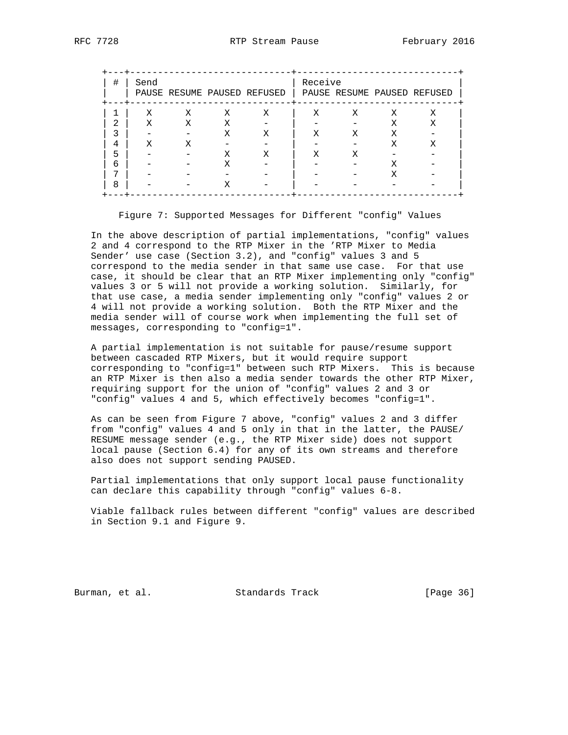| # | Send |   |   | PAUSE RESUME PAUSED REFUSED | Receive |   |   | PAUSE RESUME PAUSED REFUSED |
|---|------|---|---|-----------------------------|---------|---|---|-----------------------------|
|   | Χ    | X | X | X                           | Χ       | X | X | Χ                           |
|   | Χ    | Χ | X |                             |         |   | Χ | Χ                           |
|   |      |   | Χ | Х                           | Χ       | Χ | Χ |                             |
| 4 | X    | Х |   |                             |         |   | Х | Х                           |
|   |      |   | X | Х                           | X       | Х |   |                             |
| ี |      |   |   |                             |         |   | х |                             |
|   |      |   |   |                             |         |   | Х |                             |
| я |      |   | Х |                             |         |   |   |                             |

Figure 7: Supported Messages for Different "config" Values

 In the above description of partial implementations, "config" values 2 and 4 correspond to the RTP Mixer in the 'RTP Mixer to Media Sender' use case (Section 3.2), and "config" values 3 and 5 correspond to the media sender in that same use case. For that use case, it should be clear that an RTP Mixer implementing only "config" values 3 or 5 will not provide a working solution. Similarly, for that use case, a media sender implementing only "config" values 2 or 4 will not provide a working solution. Both the RTP Mixer and the media sender will of course work when implementing the full set of messages, corresponding to "config=1".

 A partial implementation is not suitable for pause/resume support between cascaded RTP Mixers, but it would require support corresponding to "config=1" between such RTP Mixers. This is because an RTP Mixer is then also a media sender towards the other RTP Mixer, requiring support for the union of "config" values 2 and 3 or "config" values 4 and 5, which effectively becomes "config=1".

 As can be seen from Figure 7 above, "config" values 2 and 3 differ from "config" values 4 and 5 only in that in the latter, the PAUSE/ RESUME message sender (e.g., the RTP Mixer side) does not support local pause (Section 6.4) for any of its own streams and therefore also does not support sending PAUSED.

 Partial implementations that only support local pause functionality can declare this capability through "config" values 6-8.

 Viable fallback rules between different "config" values are described in Section 9.1 and Figure 9.

Burman, et al. Standards Track [Page 36]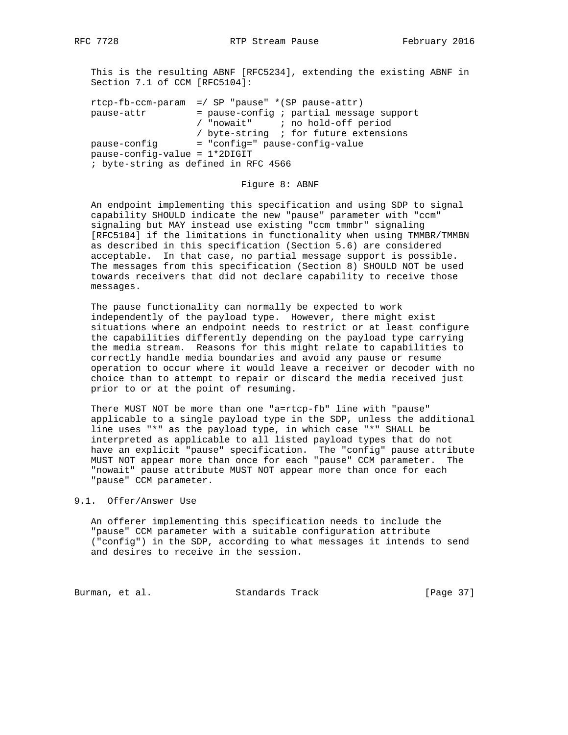This is the resulting ABNF [RFC5234], extending the existing ABNF in Section 7.1 of CCM [RFC5104]:

|                                      | $r \text{tcp-fb-ccm-param}$ =/ SP "pause" *(SP pause-attr) |
|--------------------------------------|------------------------------------------------------------|
| pause-attr                           | $=$ pause-config ; partial message support                 |
|                                      | / "nowait" ; no hold-off period                            |
|                                      | / byte-string : for future extensions                      |
| pause-confiq                         | = "config=" pause-config-value                             |
| $pause-control = 1 * 2DIGIT$         |                                                            |
| ; byte-string as defined in RFC 4566 |                                                            |
|                                      |                                                            |

#### Figure 8: ABNF

 An endpoint implementing this specification and using SDP to signal capability SHOULD indicate the new "pause" parameter with "ccm" signaling but MAY instead use existing "ccm tmmbr" signaling [RFC5104] if the limitations in functionality when using TMMBR/TMMBN as described in this specification (Section 5.6) are considered acceptable. In that case, no partial message support is possible. The messages from this specification (Section 8) SHOULD NOT be used towards receivers that did not declare capability to receive those messages.

 The pause functionality can normally be expected to work independently of the payload type. However, there might exist situations where an endpoint needs to restrict or at least configure the capabilities differently depending on the payload type carrying the media stream. Reasons for this might relate to capabilities to correctly handle media boundaries and avoid any pause or resume operation to occur where it would leave a receiver or decoder with no choice than to attempt to repair or discard the media received just prior to or at the point of resuming.

 There MUST NOT be more than one "a=rtcp-fb" line with "pause" applicable to a single payload type in the SDP, unless the additional line uses "\*" as the payload type, in which case "\*" SHALL be interpreted as applicable to all listed payload types that do not have an explicit "pause" specification. The "config" pause attribute MUST NOT appear more than once for each "pause" CCM parameter. The "nowait" pause attribute MUST NOT appear more than once for each "pause" CCM parameter.

## 9.1. Offer/Answer Use

 An offerer implementing this specification needs to include the "pause" CCM parameter with a suitable configuration attribute ("config") in the SDP, according to what messages it intends to send and desires to receive in the session.

Burman, et al. Standards Track [Page 37]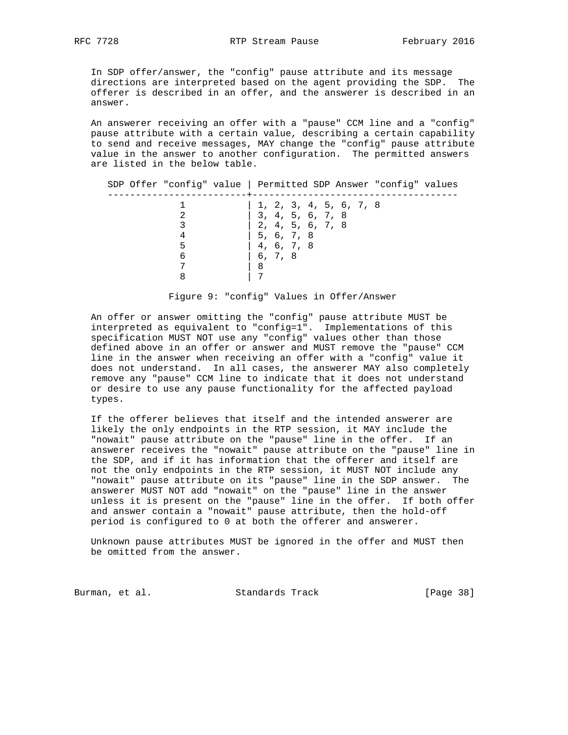In SDP offer/answer, the "config" pause attribute and its message directions are interpreted based on the agent providing the SDP. The offerer is described in an offer, and the answerer is described in an answer.

 An answerer receiving an offer with a "pause" CCM line and a "config" pause attribute with a certain value, describing a certain capability to send and receive messages, MAY change the "config" pause attribute value in the answer to another configuration. The permitted answers are listed in the below table.

|        | SDP Offer "config" value   Permitted SDP Answer "config" values                                                       |
|--------|-----------------------------------------------------------------------------------------------------------------------|
| 5<br>6 | 1, 2, 3, 4, 5, 6, 7, 8<br>3, 4, 5, 6, 7, 8<br>2, 4, 5, 6, 7, 8<br>5, 6, 7, 8<br>4, 6, 7, 8<br>6, 7, 8<br>$\mathsf{B}$ |

Figure 9: "config" Values in Offer/Answer

 An offer or answer omitting the "config" pause attribute MUST be interpreted as equivalent to "config=1". Implementations of this specification MUST NOT use any "config" values other than those defined above in an offer or answer and MUST remove the "pause" CCM line in the answer when receiving an offer with a "config" value it does not understand. In all cases, the answerer MAY also completely remove any "pause" CCM line to indicate that it does not understand or desire to use any pause functionality for the affected payload types.

 If the offerer believes that itself and the intended answerer are likely the only endpoints in the RTP session, it MAY include the "nowait" pause attribute on the "pause" line in the offer. If an answerer receives the "nowait" pause attribute on the "pause" line in the SDP, and if it has information that the offerer and itself are not the only endpoints in the RTP session, it MUST NOT include any "nowait" pause attribute on its "pause" line in the SDP answer. The answerer MUST NOT add "nowait" on the "pause" line in the answer unless it is present on the "pause" line in the offer. If both offer and answer contain a "nowait" pause attribute, then the hold-off period is configured to 0 at both the offerer and answerer.

 Unknown pause attributes MUST be ignored in the offer and MUST then be omitted from the answer.

Burman, et al. Standards Track [Page 38]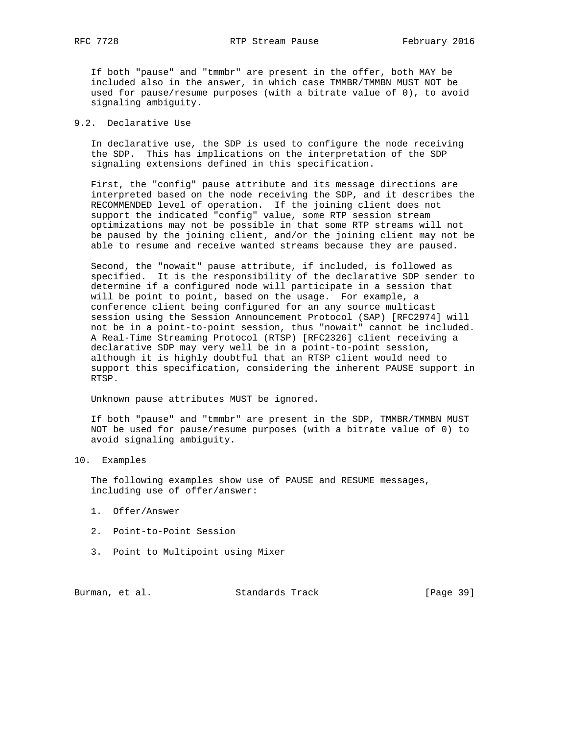If both "pause" and "tmmbr" are present in the offer, both MAY be included also in the answer, in which case TMMBR/TMMBN MUST NOT be used for pause/resume purposes (with a bitrate value of 0), to avoid signaling ambiguity.

## 9.2. Declarative Use

 In declarative use, the SDP is used to configure the node receiving the SDP. This has implications on the interpretation of the SDP signaling extensions defined in this specification.

 First, the "config" pause attribute and its message directions are interpreted based on the node receiving the SDP, and it describes the RECOMMENDED level of operation. If the joining client does not support the indicated "config" value, some RTP session stream optimizations may not be possible in that some RTP streams will not be paused by the joining client, and/or the joining client may not be able to resume and receive wanted streams because they are paused.

 Second, the "nowait" pause attribute, if included, is followed as specified. It is the responsibility of the declarative SDP sender to determine if a configured node will participate in a session that will be point to point, based on the usage. For example, a conference client being configured for an any source multicast session using the Session Announcement Protocol (SAP) [RFC2974] will not be in a point-to-point session, thus "nowait" cannot be included. A Real-Time Streaming Protocol (RTSP) [RFC2326] client receiving a declarative SDP may very well be in a point-to-point session, although it is highly doubtful that an RTSP client would need to support this specification, considering the inherent PAUSE support in RTSP.

Unknown pause attributes MUST be ignored.

 If both "pause" and "tmmbr" are present in the SDP, TMMBR/TMMBN MUST NOT be used for pause/resume purposes (with a bitrate value of 0) to avoid signaling ambiguity.

10. Examples

 The following examples show use of PAUSE and RESUME messages, including use of offer/answer:

- 1. Offer/Answer
- 2. Point-to-Point Session
- 3. Point to Multipoint using Mixer

Burman, et al. Standards Track [Page 39]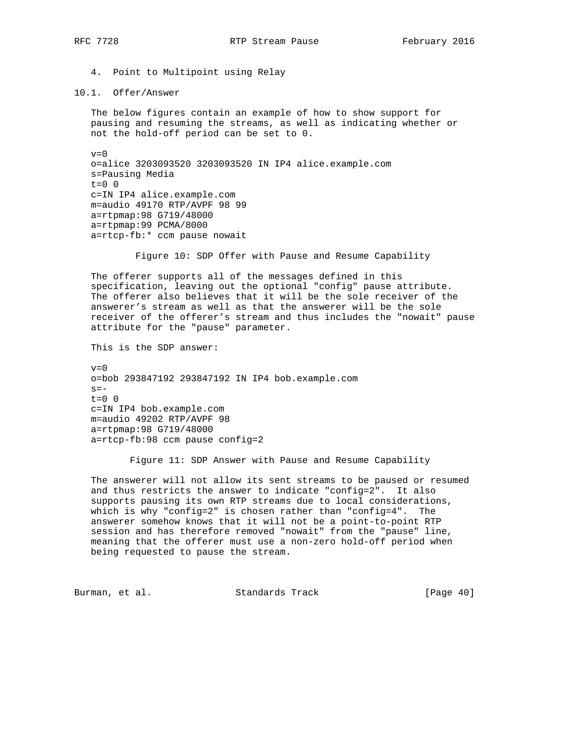4. Point to Multipoint using Relay

#### 10.1. Offer/Answer

 The below figures contain an example of how to show support for pausing and resuming the streams, as well as indicating whether or not the hold-off period can be set to 0.

 $v=0$  o=alice 3203093520 3203093520 IN IP4 alice.example.com s=Pausing Media  $t=0$  0 c=IN IP4 alice.example.com m=audio 49170 RTP/AVPF 98 99 a=rtpmap:98 G719/48000 a=rtpmap:99 PCMA/8000 a=rtcp-fb:\* ccm pause nowait

Figure 10: SDP Offer with Pause and Resume Capability

 The offerer supports all of the messages defined in this specification, leaving out the optional "config" pause attribute. The offerer also believes that it will be the sole receiver of the answerer's stream as well as that the answerer will be the sole receiver of the offerer's stream and thus includes the "nowait" pause attribute for the "pause" parameter.

This is the SDP answer:

 $v=0$  o=bob 293847192 293847192 IN IP4 bob.example.com  $s =$  $t=0$  0 c=IN IP4 bob.example.com m=audio 49202 RTP/AVPF 98 a=rtpmap:98 G719/48000 a=rtcp-fb:98 ccm pause config=2

Figure 11: SDP Answer with Pause and Resume Capability

 The answerer will not allow its sent streams to be paused or resumed and thus restricts the answer to indicate "config=2". It also supports pausing its own RTP streams due to local considerations, which is why "config=2" is chosen rather than "config=4". The answerer somehow knows that it will not be a point-to-point RTP session and has therefore removed "nowait" from the "pause" line, meaning that the offerer must use a non-zero hold-off period when being requested to pause the stream.

Burman, et al. Standards Track [Page 40]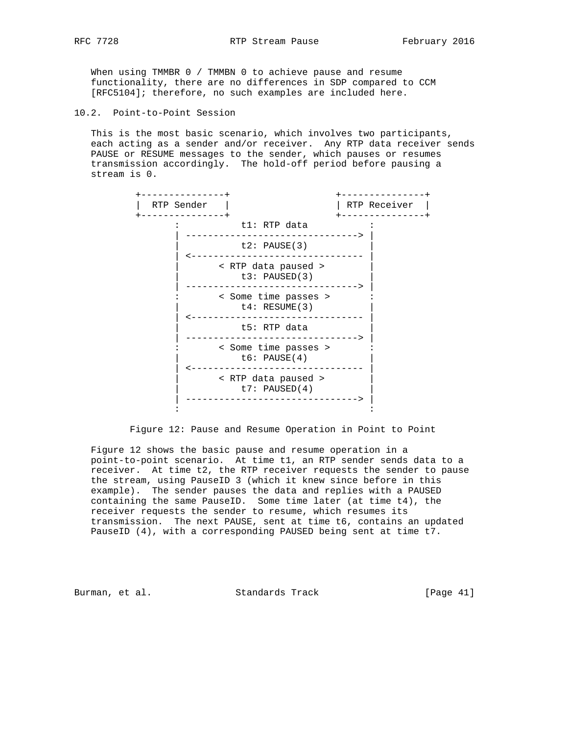When using TMMBR 0 / TMMBN 0 to achieve pause and resume functionality, there are no differences in SDP compared to CCM [RFC5104]; therefore, no such examples are included here.

10.2. Point-to-Point Session

 This is the most basic scenario, which involves two participants, each acting as a sender and/or receiver. Any RTP data receiver sends PAUSE or RESUME messages to the sender, which pauses or resumes transmission accordingly. The hold-off period before pausing a stream is 0.



Figure 12: Pause and Resume Operation in Point to Point

 Figure 12 shows the basic pause and resume operation in a point-to-point scenario. At time t1, an RTP sender sends data to a receiver. At time t2, the RTP receiver requests the sender to pause the stream, using PauseID 3 (which it knew since before in this example). The sender pauses the data and replies with a PAUSED containing the same PauseID. Some time later (at time t4), the receiver requests the sender to resume, which resumes its transmission. The next PAUSE, sent at time t6, contains an updated PauseID (4), with a corresponding PAUSED being sent at time t7.

Burman, et al. Standards Track [Page 41]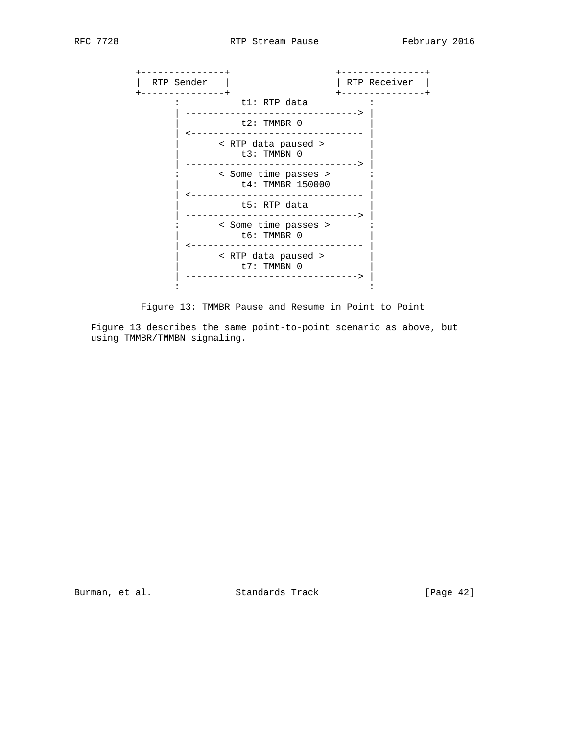

Figure 13: TMMBR Pause and Resume in Point to Point

 Figure 13 describes the same point-to-point scenario as above, but using TMMBR/TMMBN signaling.

Burman, et al. Standards Track [Page 42]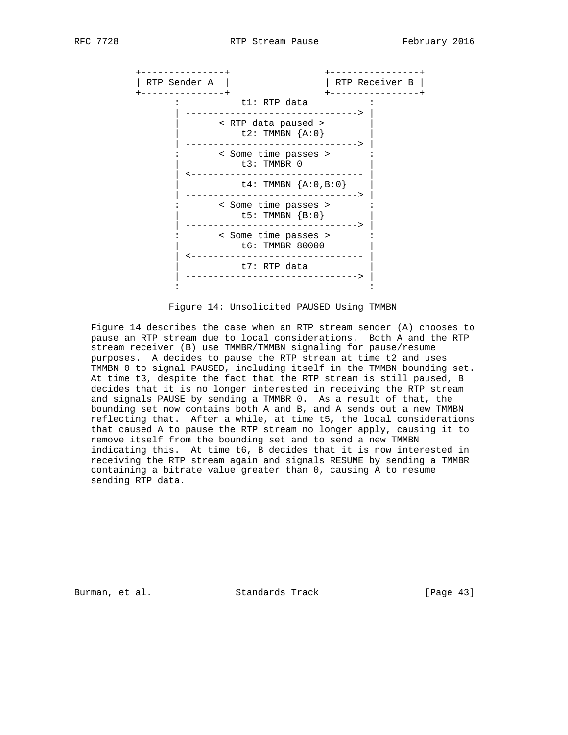

Figure 14: Unsolicited PAUSED Using TMMBN

 Figure 14 describes the case when an RTP stream sender (A) chooses to pause an RTP stream due to local considerations. Both A and the RTP stream receiver (B) use TMMBR/TMMBN signaling for pause/resume purposes. A decides to pause the RTP stream at time t2 and uses TMMBN 0 to signal PAUSED, including itself in the TMMBN bounding set. At time t3, despite the fact that the RTP stream is still paused, B decides that it is no longer interested in receiving the RTP stream and signals PAUSE by sending a TMMBR 0. As a result of that, the bounding set now contains both A and B, and A sends out a new TMMBN reflecting that. After a while, at time t5, the local considerations that caused A to pause the RTP stream no longer apply, causing it to remove itself from the bounding set and to send a new TMMBN indicating this. At time t6, B decides that it is now interested in receiving the RTP stream again and signals RESUME by sending a TMMBR containing a bitrate value greater than 0, causing A to resume sending RTP data.

Burman, et al. Standards Track [Page 43]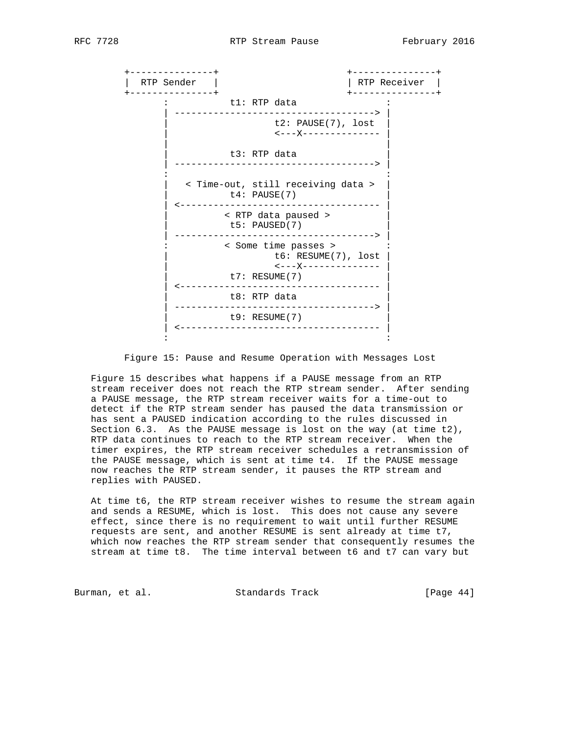

Figure 15: Pause and Resume Operation with Messages Lost

 Figure 15 describes what happens if a PAUSE message from an RTP stream receiver does not reach the RTP stream sender. After sending a PAUSE message, the RTP stream receiver waits for a time-out to detect if the RTP stream sender has paused the data transmission or has sent a PAUSED indication according to the rules discussed in Section 6.3. As the PAUSE message is lost on the way (at time t2), RTP data continues to reach to the RTP stream receiver. When the timer expires, the RTP stream receiver schedules a retransmission of the PAUSE message, which is sent at time t4. If the PAUSE message now reaches the RTP stream sender, it pauses the RTP stream and replies with PAUSED.

 At time t6, the RTP stream receiver wishes to resume the stream again and sends a RESUME, which is lost. This does not cause any severe effect, since there is no requirement to wait until further RESUME requests are sent, and another RESUME is sent already at time t7, which now reaches the RTP stream sender that consequently resumes the stream at time t8. The time interval between t6 and t7 can vary but

Burman, et al. Standards Track [Page 44]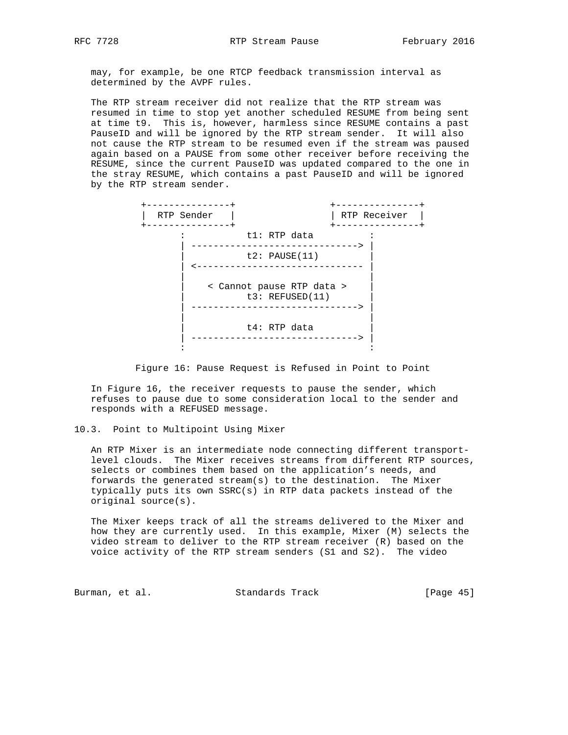may, for example, be one RTCP feedback transmission interval as determined by the AVPF rules.

 The RTP stream receiver did not realize that the RTP stream was resumed in time to stop yet another scheduled RESUME from being sent at time t9. This is, however, harmless since RESUME contains a past PauseID and will be ignored by the RTP stream sender. It will also not cause the RTP stream to be resumed even if the stream was paused again based on a PAUSE from some other receiver before receiving the RESUME, since the current PauseID was updated compared to the one in the stray RESUME, which contains a past PauseID and will be ignored by the RTP stream sender.



Figure 16: Pause Request is Refused in Point to Point

 In Figure 16, the receiver requests to pause the sender, which refuses to pause due to some consideration local to the sender and responds with a REFUSED message.

10.3. Point to Multipoint Using Mixer

 An RTP Mixer is an intermediate node connecting different transport level clouds. The Mixer receives streams from different RTP sources, selects or combines them based on the application's needs, and forwards the generated stream(s) to the destination. The Mixer typically puts its own SSRC(s) in RTP data packets instead of the original source(s).

 The Mixer keeps track of all the streams delivered to the Mixer and how they are currently used. In this example, Mixer (M) selects the video stream to deliver to the RTP stream receiver (R) based on the voice activity of the RTP stream senders (S1 and S2). The video

Burman, et al. Standards Track [Page 45]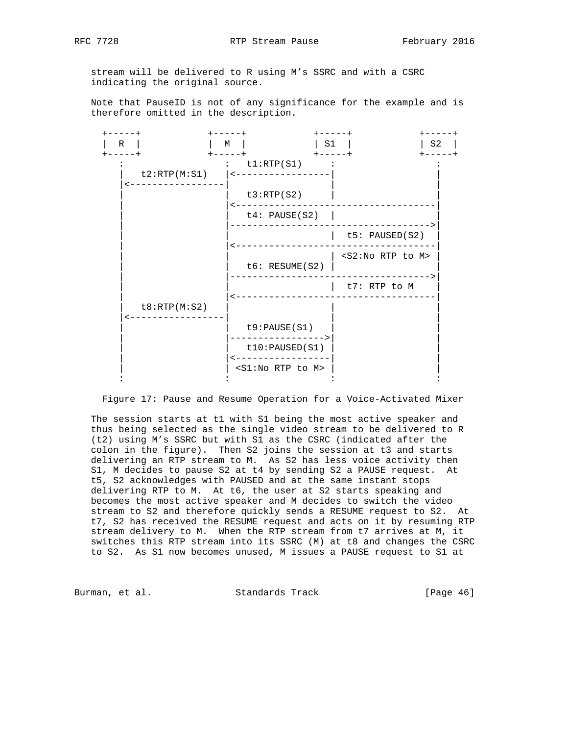stream will be delivered to R using M's SSRC and with a CSRC indicating the original source.

 Note that PauseID is not of any significance for the example and is therefore omitted in the description.



Figure 17: Pause and Resume Operation for a Voice-Activated Mixer

 The session starts at t1 with S1 being the most active speaker and thus being selected as the single video stream to be delivered to R (t2) using M's SSRC but with S1 as the CSRC (indicated after the colon in the figure). Then S2 joins the session at t3 and starts delivering an RTP stream to M. As S2 has less voice activity then S1, M decides to pause S2 at t4 by sending S2 a PAUSE request. At t5, S2 acknowledges with PAUSED and at the same instant stops delivering RTP to M. At t6, the user at S2 starts speaking and becomes the most active speaker and M decides to switch the video stream to S2 and therefore quickly sends a RESUME request to S2. At t7, S2 has received the RESUME request and acts on it by resuming RTP stream delivery to M. When the RTP stream from t7 arrives at M, it switches this RTP stream into its SSRC (M) at t8 and changes the CSRC to S2. As S1 now becomes unused, M issues a PAUSE request to S1 at

Burman, et al. Standards Track [Page 46]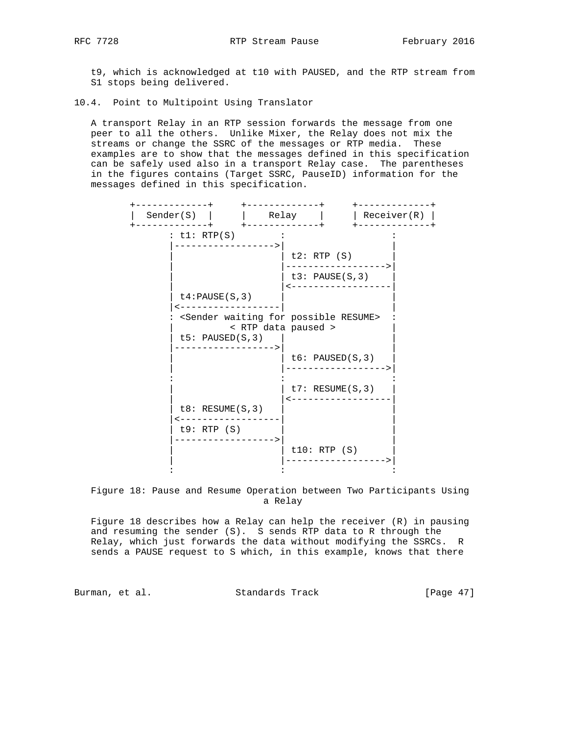t9, which is acknowledged at t10 with PAUSED, and the RTP stream from S1 stops being delivered.

10.4. Point to Multipoint Using Translator

 A transport Relay in an RTP session forwards the message from one peer to all the others. Unlike Mixer, the Relay does not mix the streams or change the SSRC of the messages or RTP media. These examples are to show that the messages defined in this specification can be safely used also in a transport Relay case. The parentheses in the figures contains (Target SSRC, PauseID) information for the messages defined in this specification.

| Sender(S)                                                                      |                     | Relay |                               | Receiver(R) |
|--------------------------------------------------------------------------------|---------------------|-------|-------------------------------|-------------|
| : $t1: RTP(S)$                                                                 |                     |       |                               |             |
|                                                                                |                     |       | t2: RTP(S)<br>t3: PAUSE(S, 3) |             |
| $t4$ : PAUSE (S, 3)                                                            |                     |       |                               |             |
| <sender for="" possible="" resume="" waiting=""><br/>t5: PAUSED(S, 3)</sender> | < RTP data paused > |       |                               |             |
|                                                                                |                     |       | t6: PAUSED(S, 3)              |             |
|                                                                                |                     |       | $t7:$ RESUME(S, 3)            |             |
| $t8:$ RESUME(S, 3)<br>t9: RTP(S)                                               |                     |       |                               |             |
|                                                                                |                     |       | t10: RTP(S)                   |             |

 Figure 18: Pause and Resume Operation between Two Participants Using a Relay

 Figure 18 describes how a Relay can help the receiver (R) in pausing and resuming the sender (S). S sends RTP data to R through the Relay, which just forwards the data without modifying the SSRCs. R sends a PAUSE request to S which, in this example, knows that there

Burman, et al. Standards Track [Page 47]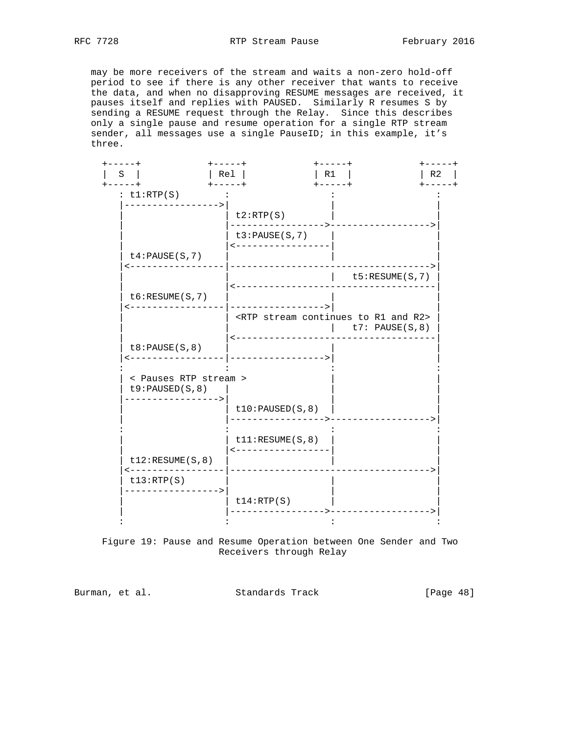may be more receivers of the stream and waits a non-zero hold-off period to see if there is any other receiver that wants to receive the data, and when no disapproving RESUME messages are received, it pauses itself and replies with PAUSED. Similarly R resumes S by sending a RESUME request through the Relay. Since this describes only a single pause and resume operation for a single RTP stream sender, all messages use a single PauseID; in this example, it's three.

| ----+<br>S<br>$- - - - +$                | $+ - - - - +$<br>Rel<br>$+ - - - - +$ | $+ - - - - +$<br>R1<br>$+ - - - - +$                                                          | -----+          |
|------------------------------------------|---------------------------------------|-----------------------------------------------------------------------------------------------|-----------------|
| : $t1:RTP(S)$                            |                                       |                                                                                               |                 |
|                                          | t2:RTP(S)                             |                                                                                               |                 |
|                                          | t3:PAUSE(S,7)<br>------------------   |                                                                                               |                 |
| $t4$ : PAUSE (S, 7)                      | _______________                       |                                                                                               |                 |
|                                          |                                       |                                                                                               | t5:RESUME(S, 7) |
| $t6:$ RESUME $(S, 7)$                    |                                       |                                                                                               |                 |
|                                          | .   ___________________               | <rtp and="" continues="" r1="" r2="" stream="" to=""><br/><math> </math> t7: PAUSE(S,8)</rtp> |                 |
| t8:PAUSE(S, 8)                           |                                       |                                                                                               |                 |
| < Pauses RTP stream ><br>t9:PAUSED(S, 8) |                                       |                                                                                               |                 |
|                                          | $t10$ : PAUSED $(S, 8)$               | ------------->                                                                                |                 |
|                                          | t11:RESUME(S, 8)<br>----------------- |                                                                                               |                 |
| t12:RESUME(S, 8)                         |                                       |                                                                                               |                 |
|                                          |                                       |                                                                                               |                 |
| ---------<br>t13:RTP(S)                  |                                       |                                                                                               |                 |

 Figure 19: Pause and Resume Operation between One Sender and Two Receivers through Relay

Burman, et al. Standards Track [Page 48]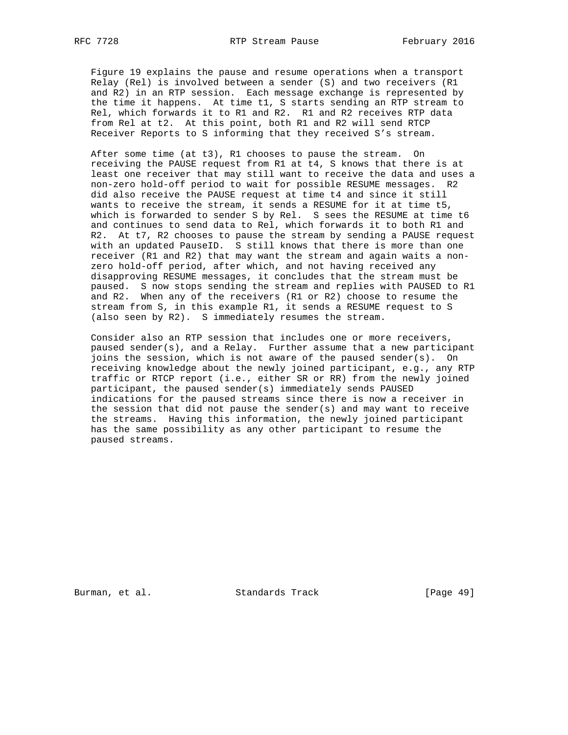Figure 19 explains the pause and resume operations when a transport Relay (Rel) is involved between a sender (S) and two receivers (R1 and R2) in an RTP session. Each message exchange is represented by the time it happens. At time t1, S starts sending an RTP stream to Rel, which forwards it to R1 and R2. R1 and R2 receives RTP data from Rel at t2. At this point, both R1 and R2 will send RTCP Receiver Reports to S informing that they received S's stream.

 After some time (at t3), R1 chooses to pause the stream. On receiving the PAUSE request from R1 at t4, S knows that there is at least one receiver that may still want to receive the data and uses a non-zero hold-off period to wait for possible RESUME messages. R2 did also receive the PAUSE request at time t4 and since it still wants to receive the stream, it sends a RESUME for it at time t5, which is forwarded to sender S by Rel. S sees the RESUME at time t6 and continues to send data to Rel, which forwards it to both R1 and R2. At t7, R2 chooses to pause the stream by sending a PAUSE request with an updated PauseID. S still knows that there is more than one receiver (R1 and R2) that may want the stream and again waits a non zero hold-off period, after which, and not having received any disapproving RESUME messages, it concludes that the stream must be paused. S now stops sending the stream and replies with PAUSED to R1 and R2. When any of the receivers (R1 or R2) choose to resume the stream from S, in this example R1, it sends a RESUME request to S (also seen by R2). S immediately resumes the stream.

 Consider also an RTP session that includes one or more receivers, paused sender(s), and a Relay. Further assume that a new participant joins the session, which is not aware of the paused sender(s). On receiving knowledge about the newly joined participant, e.g., any RTP traffic or RTCP report (i.e., either SR or RR) from the newly joined participant, the paused sender(s) immediately sends PAUSED indications for the paused streams since there is now a receiver in the session that did not pause the sender(s) and may want to receive the streams. Having this information, the newly joined participant has the same possibility as any other participant to resume the paused streams.

Burman, et al. Standards Track [Page 49]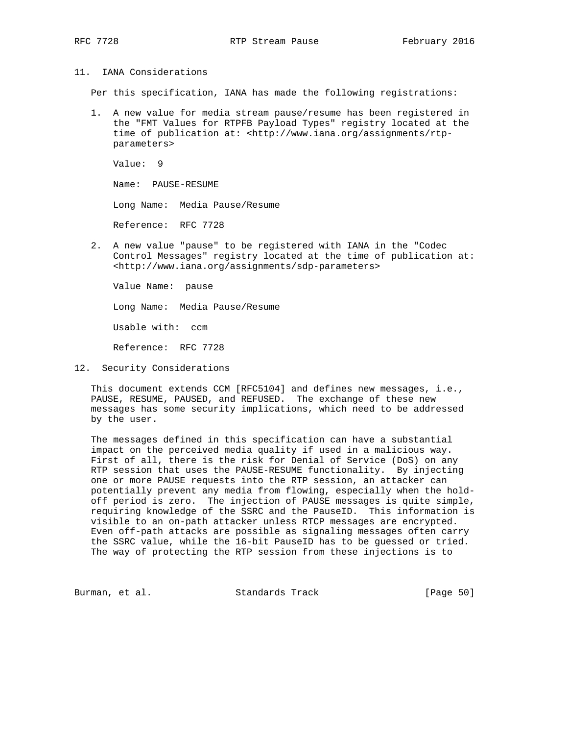### 11. IANA Considerations

Per this specification, IANA has made the following registrations:

 1. A new value for media stream pause/resume has been registered in the "FMT Values for RTPFB Payload Types" registry located at the time of publication at: <http://www.iana.org/assignments/rtp parameters>

 Value: 9 Name: PAUSE-RESUME Long Name: Media Pause/Resume Reference: RFC 7728

 2. A new value "pause" to be registered with IANA in the "Codec Control Messages" registry located at the time of publication at: <http://www.iana.org/assignments/sdp-parameters>

 Value Name: pause Long Name: Media Pause/Resume Usable with: ccm Reference: RFC 7728

12. Security Considerations

 This document extends CCM [RFC5104] and defines new messages, i.e., PAUSE, RESUME, PAUSED, and REFUSED. The exchange of these new messages has some security implications, which need to be addressed by the user.

 The messages defined in this specification can have a substantial impact on the perceived media quality if used in a malicious way. First of all, there is the risk for Denial of Service (DoS) on any RTP session that uses the PAUSE-RESUME functionality. By injecting one or more PAUSE requests into the RTP session, an attacker can potentially prevent any media from flowing, especially when the hold off period is zero. The injection of PAUSE messages is quite simple, requiring knowledge of the SSRC and the PauseID. This information is visible to an on-path attacker unless RTCP messages are encrypted. Even off-path attacks are possible as signaling messages often carry the SSRC value, while the 16-bit PauseID has to be guessed or tried. The way of protecting the RTP session from these injections is to

Burman, et al. Standards Track [Page 50]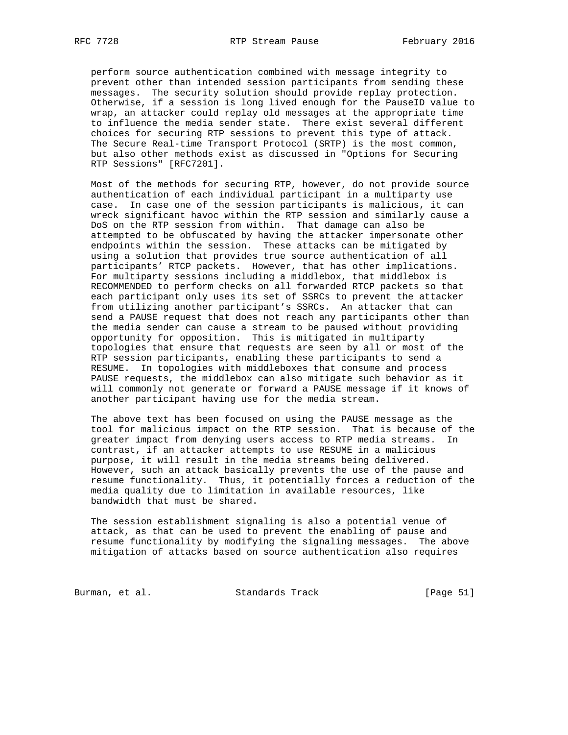perform source authentication combined with message integrity to prevent other than intended session participants from sending these messages. The security solution should provide replay protection. Otherwise, if a session is long lived enough for the PauseID value to wrap, an attacker could replay old messages at the appropriate time to influence the media sender state. There exist several different choices for securing RTP sessions to prevent this type of attack. The Secure Real-time Transport Protocol (SRTP) is the most common, but also other methods exist as discussed in "Options for Securing RTP Sessions" [RFC7201].

 Most of the methods for securing RTP, however, do not provide source authentication of each individual participant in a multiparty use case. In case one of the session participants is malicious, it can wreck significant havoc within the RTP session and similarly cause a DoS on the RTP session from within. That damage can also be attempted to be obfuscated by having the attacker impersonate other endpoints within the session. These attacks can be mitigated by using a solution that provides true source authentication of all participants' RTCP packets. However, that has other implications. For multiparty sessions including a middlebox, that middlebox is RECOMMENDED to perform checks on all forwarded RTCP packets so that each participant only uses its set of SSRCs to prevent the attacker from utilizing another participant's SSRCs. An attacker that can send a PAUSE request that does not reach any participants other than the media sender can cause a stream to be paused without providing opportunity for opposition. This is mitigated in multiparty topologies that ensure that requests are seen by all or most of the RTP session participants, enabling these participants to send a RESUME. In topologies with middleboxes that consume and process PAUSE requests, the middlebox can also mitigate such behavior as it will commonly not generate or forward a PAUSE message if it knows of another participant having use for the media stream.

 The above text has been focused on using the PAUSE message as the tool for malicious impact on the RTP session. That is because of the greater impact from denying users access to RTP media streams. In contrast, if an attacker attempts to use RESUME in a malicious purpose, it will result in the media streams being delivered. However, such an attack basically prevents the use of the pause and resume functionality. Thus, it potentially forces a reduction of the media quality due to limitation in available resources, like bandwidth that must be shared.

 The session establishment signaling is also a potential venue of attack, as that can be used to prevent the enabling of pause and resume functionality by modifying the signaling messages. The above mitigation of attacks based on source authentication also requires

Burman, et al. Standards Track [Page 51]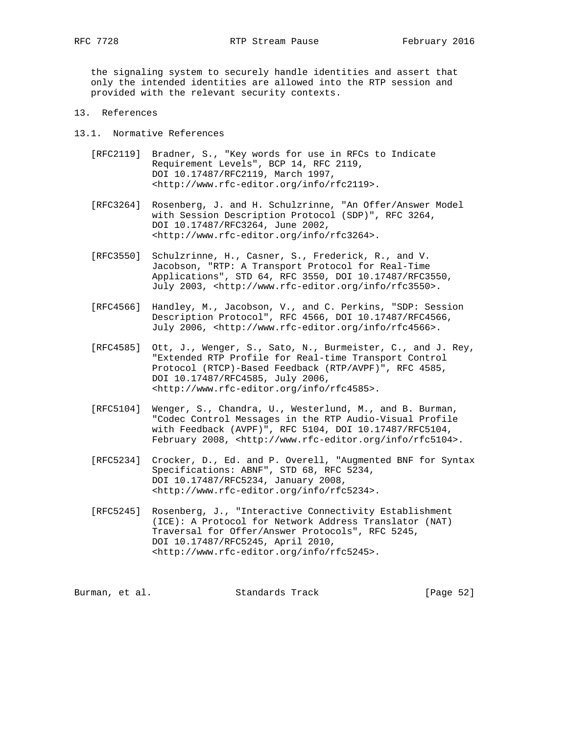the signaling system to securely handle identities and assert that only the intended identities are allowed into the RTP session and provided with the relevant security contexts.

- 13. References
- 13.1. Normative References
	- [RFC2119] Bradner, S., "Key words for use in RFCs to Indicate Requirement Levels", BCP 14, RFC 2119, DOI 10.17487/RFC2119, March 1997, <http://www.rfc-editor.org/info/rfc2119>.
	- [RFC3264] Rosenberg, J. and H. Schulzrinne, "An Offer/Answer Model with Session Description Protocol (SDP)", RFC 3264, DOI 10.17487/RFC3264, June 2002, <http://www.rfc-editor.org/info/rfc3264>.
	- [RFC3550] Schulzrinne, H., Casner, S., Frederick, R., and V. Jacobson, "RTP: A Transport Protocol for Real-Time Applications", STD 64, RFC 3550, DOI 10.17487/RFC3550, July 2003, <http://www.rfc-editor.org/info/rfc3550>.
	- [RFC4566] Handley, M., Jacobson, V., and C. Perkins, "SDP: Session Description Protocol", RFC 4566, DOI 10.17487/RFC4566, July 2006, <http://www.rfc-editor.org/info/rfc4566>.
	- [RFC4585] Ott, J., Wenger, S., Sato, N., Burmeister, C., and J. Rey, "Extended RTP Profile for Real-time Transport Control Protocol (RTCP)-Based Feedback (RTP/AVPF)", RFC 4585, DOI 10.17487/RFC4585, July 2006, <http://www.rfc-editor.org/info/rfc4585>.
	- [RFC5104] Wenger, S., Chandra, U., Westerlund, M., and B. Burman, "Codec Control Messages in the RTP Audio-Visual Profile with Feedback (AVPF)", RFC 5104, DOI 10.17487/RFC5104, February 2008, <http://www.rfc-editor.org/info/rfc5104>.
	- [RFC5234] Crocker, D., Ed. and P. Overell, "Augmented BNF for Syntax Specifications: ABNF", STD 68, RFC 5234, DOI 10.17487/RFC5234, January 2008, <http://www.rfc-editor.org/info/rfc5234>.
	- [RFC5245] Rosenberg, J., "Interactive Connectivity Establishment (ICE): A Protocol for Network Address Translator (NAT) Traversal for Offer/Answer Protocols", RFC 5245, DOI 10.17487/RFC5245, April 2010, <http://www.rfc-editor.org/info/rfc5245>.

Burman, et al. Standards Track [Page 52]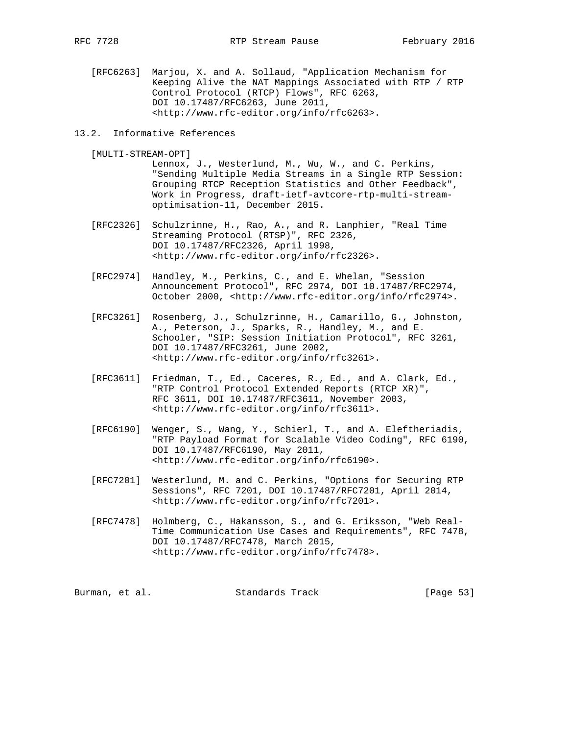[RFC6263] Marjou, X. and A. Sollaud, "Application Mechanism for Keeping Alive the NAT Mappings Associated with RTP / RTP Control Protocol (RTCP) Flows", RFC 6263, DOI 10.17487/RFC6263, June 2011, <http://www.rfc-editor.org/info/rfc6263>.

### 13.2. Informative References

[MULTI-STREAM-OPT]

 Lennox, J., Westerlund, M., Wu, W., and C. Perkins, "Sending Multiple Media Streams in a Single RTP Session: Grouping RTCP Reception Statistics and Other Feedback", Work in Progress, draft-ietf-avtcore-rtp-multi-stream optimisation-11, December 2015.

- [RFC2326] Schulzrinne, H., Rao, A., and R. Lanphier, "Real Time Streaming Protocol (RTSP)", RFC 2326, DOI 10.17487/RFC2326, April 1998, <http://www.rfc-editor.org/info/rfc2326>.
- [RFC2974] Handley, M., Perkins, C., and E. Whelan, "Session Announcement Protocol", RFC 2974, DOI 10.17487/RFC2974, October 2000, <http://www.rfc-editor.org/info/rfc2974>.
- [RFC3261] Rosenberg, J., Schulzrinne, H., Camarillo, G., Johnston, A., Peterson, J., Sparks, R., Handley, M., and E. Schooler, "SIP: Session Initiation Protocol", RFC 3261, DOI 10.17487/RFC3261, June 2002, <http://www.rfc-editor.org/info/rfc3261>.
- [RFC3611] Friedman, T., Ed., Caceres, R., Ed., and A. Clark, Ed., "RTP Control Protocol Extended Reports (RTCP XR)", RFC 3611, DOI 10.17487/RFC3611, November 2003, <http://www.rfc-editor.org/info/rfc3611>.
- [RFC6190] Wenger, S., Wang, Y., Schierl, T., and A. Eleftheriadis, "RTP Payload Format for Scalable Video Coding", RFC 6190, DOI 10.17487/RFC6190, May 2011, <http://www.rfc-editor.org/info/rfc6190>.
- [RFC7201] Westerlund, M. and C. Perkins, "Options for Securing RTP Sessions", RFC 7201, DOI 10.17487/RFC7201, April 2014, <http://www.rfc-editor.org/info/rfc7201>.
- [RFC7478] Holmberg, C., Hakansson, S., and G. Eriksson, "Web Real- Time Communication Use Cases and Requirements", RFC 7478, DOI 10.17487/RFC7478, March 2015, <http://www.rfc-editor.org/info/rfc7478>.

| Burman, et al. | Standards Track | [Page 53] |
|----------------|-----------------|-----------|
|                |                 |           |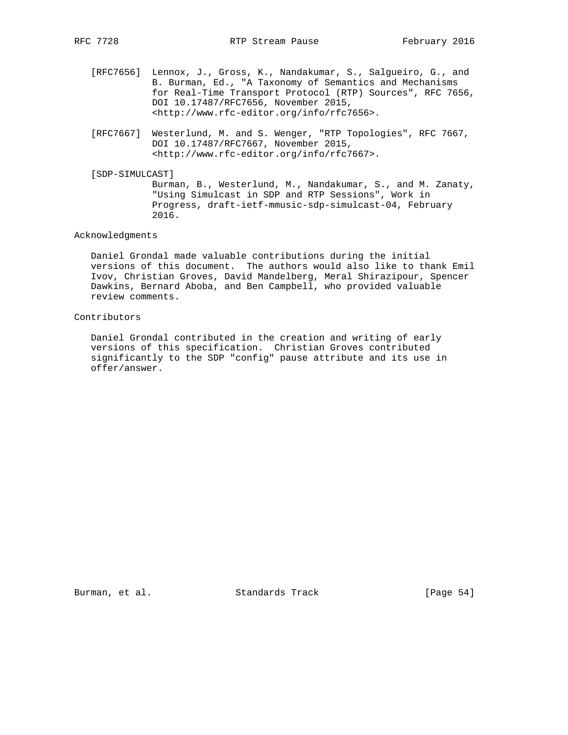- [RFC7656] Lennox, J., Gross, K., Nandakumar, S., Salgueiro, G., and B. Burman, Ed., "A Taxonomy of Semantics and Mechanisms for Real-Time Transport Protocol (RTP) Sources", RFC 7656, DOI 10.17487/RFC7656, November 2015, <http://www.rfc-editor.org/info/rfc7656>.
- [RFC7667] Westerlund, M. and S. Wenger, "RTP Topologies", RFC 7667, DOI 10.17487/RFC7667, November 2015, <http://www.rfc-editor.org/info/rfc7667>.
- [SDP-SIMULCAST]

 Burman, B., Westerlund, M., Nandakumar, S., and M. Zanaty, "Using Simulcast in SDP and RTP Sessions", Work in Progress, draft-ietf-mmusic-sdp-simulcast-04, February 2016.

## Acknowledgments

 Daniel Grondal made valuable contributions during the initial versions of this document. The authors would also like to thank Emil Ivov, Christian Groves, David Mandelberg, Meral Shirazipour, Spencer Dawkins, Bernard Aboba, and Ben Campbell, who provided valuable review comments.

## Contributors

 Daniel Grondal contributed in the creation and writing of early versions of this specification. Christian Groves contributed significantly to the SDP "config" pause attribute and its use in offer/answer.

Burman, et al. Standards Track [Page 54]